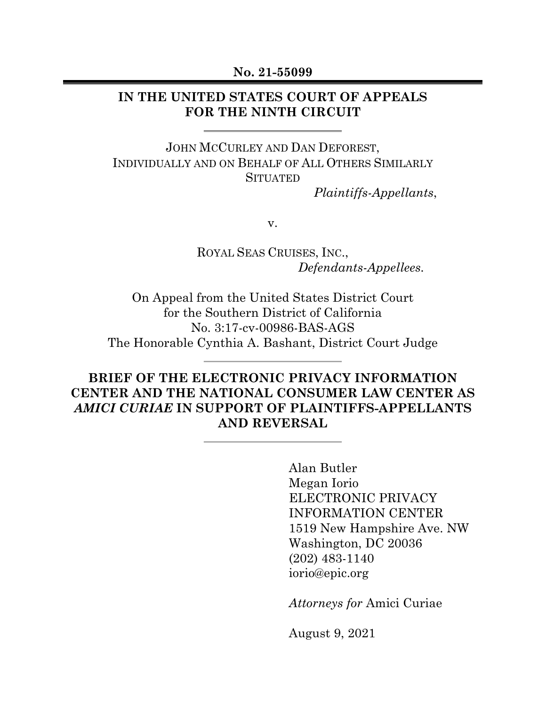#### **No. 21-55099**

#### **IN THE UNITED STATES COURT OF APPEALS FOR THE NINTH CIRCUIT**

JOHN MCCURLEY AND DAN DEFOREST, INDIVIDUALLY AND ON BEHALF OF ALL OTHERS SIMILARLY **SITUATED** 

 *Plaintiffs-Appellants*,

v.

ROYAL SEAS CRUISES, INC.,  *Defendants-Appellees.*

On Appeal from the United States District Court for the Southern District of California No. 3:17-cv-00986-BAS-AGS The Honorable Cynthia A. Bashant, District Court Judge

## **BRIEF OF THE ELECTRONIC PRIVACY INFORMATION CENTER AND THE NATIONAL CONSUMER LAW CENTER AS**  *AMICI CURIAE* **IN SUPPORT OF PLAINTIFFS-APPELLANTS AND REVERSAL**

Alan Butler Megan Iorio ELECTRONIC PRIVACY INFORMATION CENTER 1519 New Hampshire Ave. NW Washington, DC 20036 (202) 483-1140 iorio@epic.org

*Attorneys for* Amici Curiae

August 9, 2021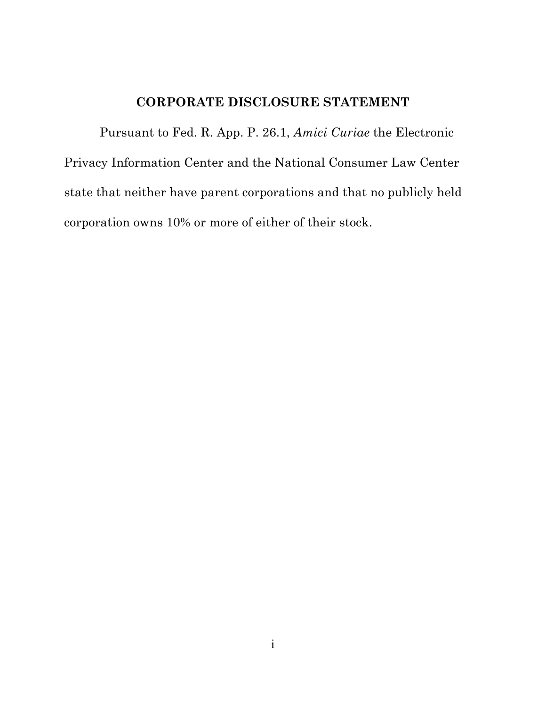### **CORPORATE DISCLOSURE STATEMENT**

Pursuant to Fed. R. App. P. 26.1, *Amici Curiae* the Electronic Privacy Information Center and the National Consumer Law Center state that neither have parent corporations and that no publicly held corporation owns 10% or more of either of their stock.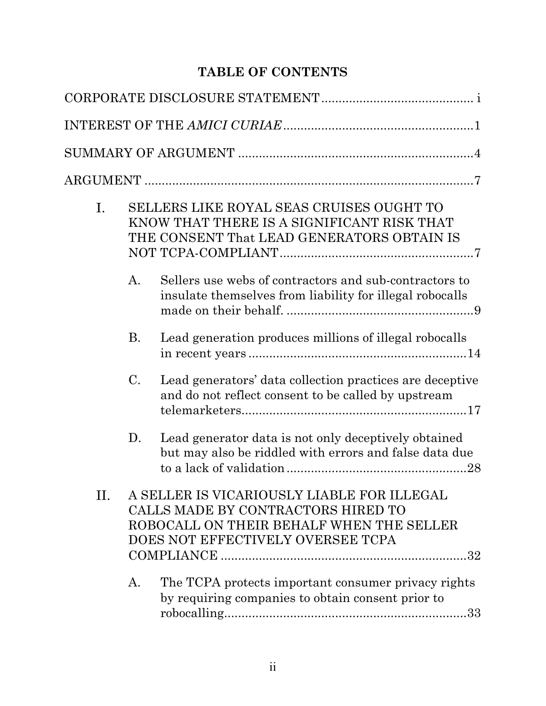# **TABLE OF CONTENTS**

| Ι. | SELLERS LIKE ROYAL SEAS CRUISES OUGHT TO<br>KNOW THAT THERE IS A SIGNIFICANT RISK THAT<br>THE CONSENT That LEAD GENERATORS OBTAIN IS |                                                                                                                                                                   |
|----|--------------------------------------------------------------------------------------------------------------------------------------|-------------------------------------------------------------------------------------------------------------------------------------------------------------------|
|    | A.                                                                                                                                   | Sellers use webs of contractors and sub-contractors to<br>insulate themselves from liability for illegal robocalls                                                |
|    | <b>B.</b>                                                                                                                            | Lead generation produces millions of illegal robocalls                                                                                                            |
|    | $\mathcal{C}$ .                                                                                                                      | Lead generators' data collection practices are deceptive<br>and do not reflect consent to be called by upstream                                                   |
|    | D.                                                                                                                                   | Lead generator data is not only deceptively obtained<br>but may also be riddled with errors and false data due                                                    |
| Η. |                                                                                                                                      | A SELLER IS VICARIOUSLY LIABLE FOR ILLEGAL<br>CALLS MADE BY CONTRACTORS HIRED TO<br>ROBOCALL ON THEIR BEHALF WHEN THE SELLER<br>DOES NOT EFFECTIVELY OVERSEE TCPA |
|    | A.                                                                                                                                   | The TCPA protects important consumer privacy rights<br>by requiring companies to obtain consent prior to                                                          |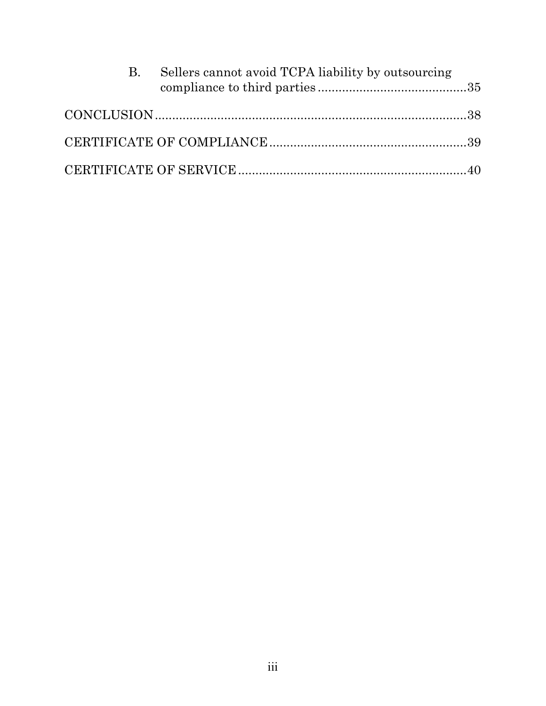| <b>B.</b> | Sellers cannot avoid TCPA liability by outsourcing |  |
|-----------|----------------------------------------------------|--|
|           |                                                    |  |
|           |                                                    |  |
|           |                                                    |  |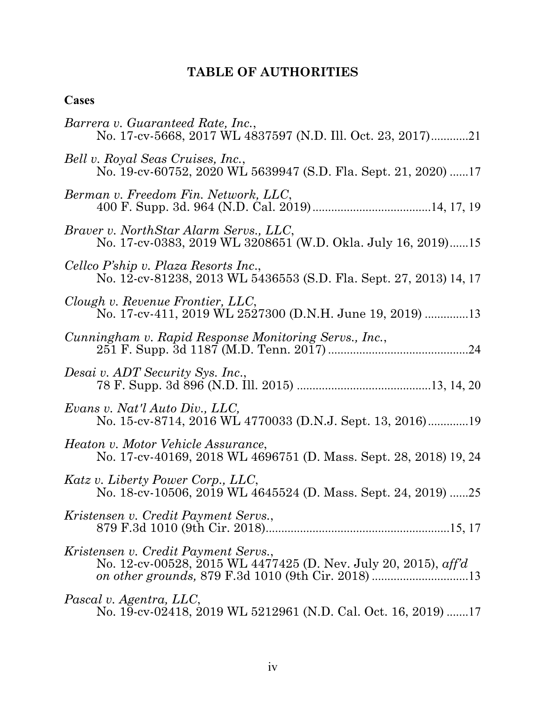# **TABLE OF AUTHORITIES**

## **Cases**

| Barrera v. Guaranteed Rate, Inc.,<br>No. 17-cv-5668, 2017 WL 4837597 (N.D. Ill. Oct. 23, 2017)21           |
|------------------------------------------------------------------------------------------------------------|
| Bell v. Royal Seas Cruises, Inc.,<br>No. 19-cv-60752, 2020 WL 5639947 (S.D. Fla. Sept. 21, 2020) 17        |
| Berman v. Freedom Fin. Network, LLC,                                                                       |
| Braver v. NorthStar Alarm Servs., LLC,<br>No. 17-cv-0383, 2019 WL 3208651 (W.D. Okla. July 16, 2019)15     |
| Cellco P'ship v. Plaza Resorts Inc.,<br>No. 12-cv-81238, 2013 WL 5436553 (S.D. Fla. Sept. 27, 2013) 14, 17 |
| Clough v. Revenue Frontier, LLC,<br>No. 17-cv-411, 2019 WL 2527300 (D.N.H. June 19, 2019) 13               |
| Cunningham v. Rapid Response Monitoring Servs., Inc.,                                                      |
| Desai v. ADT Security Sys. Inc.,                                                                           |
| Evans v. Nat'l Auto Div., LLC,                                                                             |
| Heaton v. Motor Vehicle Assurance,<br>No. 17-cv-40169, 2018 WL 4696751 (D. Mass. Sept. 28, 2018) 19, 24    |
| Katz v. Liberty Power Corp., LLC,<br>No. 18-cv-10506, 2019 WL 4645524 (D. Mass. Sept. 24, 2019) 25         |
| Kristensen v. Credit Payment Servs.,                                                                       |
| Kristensen v. Credit Payment Servs.,<br>No. 12-cv-00528, 2015 WL 4477425 (D. Nev. July 20, 2015), aff'd    |
| Pascal v. Agentra, LLC,<br>No. 19-cv-02418, 2019 WL 5212961 (N.D. Cal. Oct. 16, 2019) 17                   |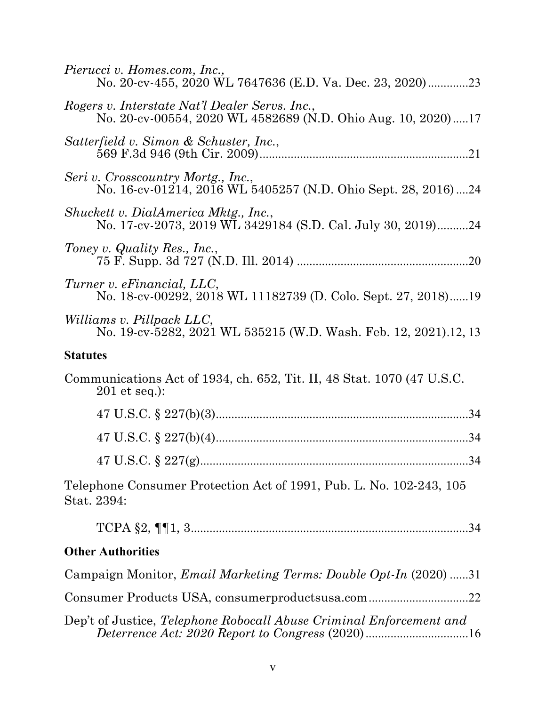| Pierucci v. Homes.com, Inc.,<br>No. 20-cv-455, 2020 WL 7647636 (E.D. Va. Dec. 23, 2020)23                      |
|----------------------------------------------------------------------------------------------------------------|
| Rogers v. Interstate Nat'l Dealer Servs. Inc.,<br>No. 20-cv-00554, 2020 WL 4582689 (N.D. Ohio Aug. 10, 2020)17 |
| Satterfield v. Simon & Schuster, Inc.,                                                                         |
| Seri v. Crosscountry Mortg., Inc.,<br>No. 16-cv-01214, 2016 WL 5405257 (N.D. Ohio Sept. 28, 2016)24            |
| Shuckett v. DialAmerica Mktg., Inc.,<br>No. 17-cv-2073, 2019 WL 3429184 (S.D. Cal. July 30, 2019)24            |
| Toney v. Quality Res., Inc.,                                                                                   |
| Turner v. eFinancial, LLC,<br>No. 18-cv-00292, 2018 WL 11182739 (D. Colo. Sept. 27, 2018)19                    |
| Williams v. Pillpack LLC,<br>No. 19-cv-5282, 2021 WL 535215 (W.D. Wash. Feb. 12, 2021).12, 13                  |
| <b>Statutes</b>                                                                                                |
| Communications Act of 1934, ch. 652, Tit. II, 48 Stat. 1070 (47 U.S.C.<br>$201$ et seq.):                      |
|                                                                                                                |
|                                                                                                                |
|                                                                                                                |
| Telephone Consumer Protection Act of 1991, Pub. L. No. 102-243, 105<br>Stat. 2394:                             |
|                                                                                                                |
| <b>Other Authorities</b>                                                                                       |
| Campaign Monitor, <i>Email Marketing Terms: Double Opt-In</i> (2020) 31                                        |
| Consumer Products USA, consumerproductsusa.com22                                                               |
| Dep't of Justice, Telephone Robocall Abuse Criminal Enforcement and                                            |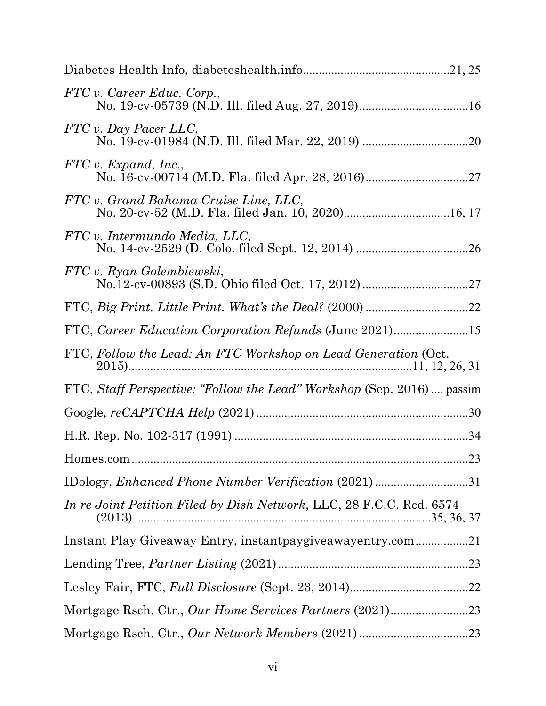| FTC v. Career Educ. Corp.,                                             |  |
|------------------------------------------------------------------------|--|
| FTC v. Day Pacer LLC,                                                  |  |
| FTC v. Expand, Inc.,                                                   |  |
| FTC v. Grand Bahama Cruise Line, LLC,                                  |  |
| FTC v. Intermundo Media, LLC,                                          |  |
| FTC v. Ryan Golembiewski,                                              |  |
|                                                                        |  |
| FTC, Career Education Corporation Refunds (June 2021)15                |  |
| FTC, Follow the Lead: An FTC Workshop on Lead Generation (Oct.         |  |
| FTC, Staff Perspective: "Follow the Lead" Workshop (Sep. 2016)  passim |  |
|                                                                        |  |
|                                                                        |  |
|                                                                        |  |
|                                                                        |  |
| In re Joint Petition Filed by Dish Network, LLC, 28 F.C.C. Rcd. 6574   |  |
| Instant Play Giveaway Entry, instantpaygiveawayentry.com21             |  |
|                                                                        |  |
|                                                                        |  |
|                                                                        |  |
|                                                                        |  |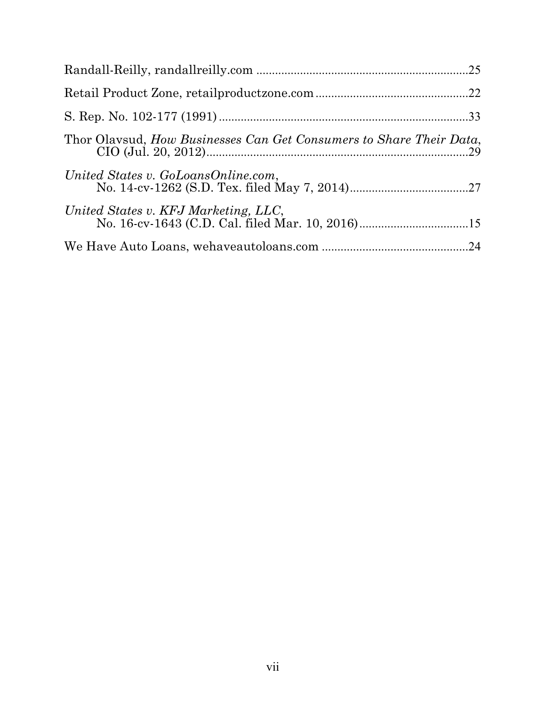| Thor Olavsud, How Businesses Can Get Consumers to Share Their Data, |  |
|---------------------------------------------------------------------|--|
| United States v. GoLoansOnline.com,                                 |  |
| United States v. KFJ Marketing, LLC,                                |  |
|                                                                     |  |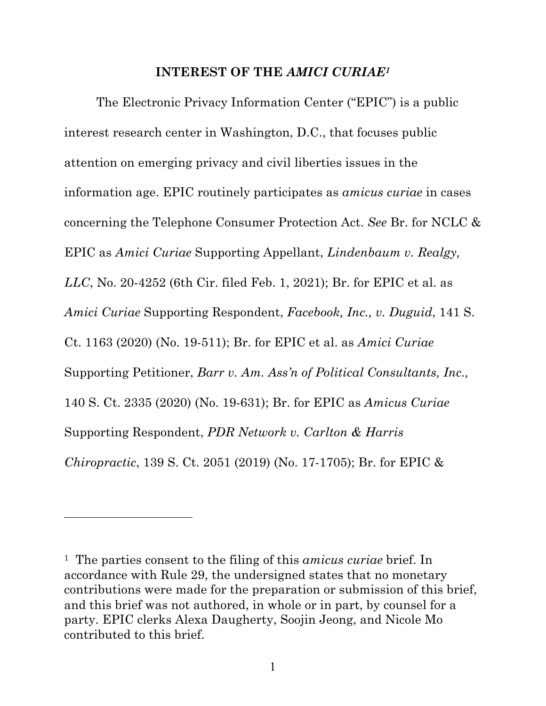#### **INTEREST OF THE** *AMICI CURIAE1*

The Electronic Privacy Information Center ("EPIC") is a public interest research center in Washington, D.C., that focuses public attention on emerging privacy and civil liberties issues in the information age. EPIC routinely participates as *amicus curiae* in cases concerning the Telephone Consumer Protection Act. *See* Br. for NCLC & EPIC as *Amici Curiae* Supporting Appellant, *Lindenbaum v. Realgy, LLC*, No. 20-4252 (6th Cir. filed Feb. 1, 2021); Br. for EPIC et al. as *Amici Curiae* Supporting Respondent, *Facebook, Inc., v. Duguid*, 141 S. Ct. 1163 (2020) (No. 19-511); Br. for EPIC et al. as *Amici Curiae*  Supporting Petitioner, *Barr v. Am. Ass'n of Political Consultants, Inc.,*  140 S. Ct. 2335 (2020) (No. 19-631); Br. for EPIC as *Amicus Curiae*  Supporting Respondent, *PDR Network v. Carlton & Harris Chiropractic*, 139 S. Ct. 2051 (2019) (No. 17-1705); Br. for EPIC &

<sup>1</sup> The parties consent to the filing of this *amicus curiae* brief. In accordance with Rule 29, the undersigned states that no monetary contributions were made for the preparation or submission of this brief, and this brief was not authored, in whole or in part, by counsel for a party. EPIC clerks Alexa Daugherty, Soojin Jeong, and Nicole Mo contributed to this brief.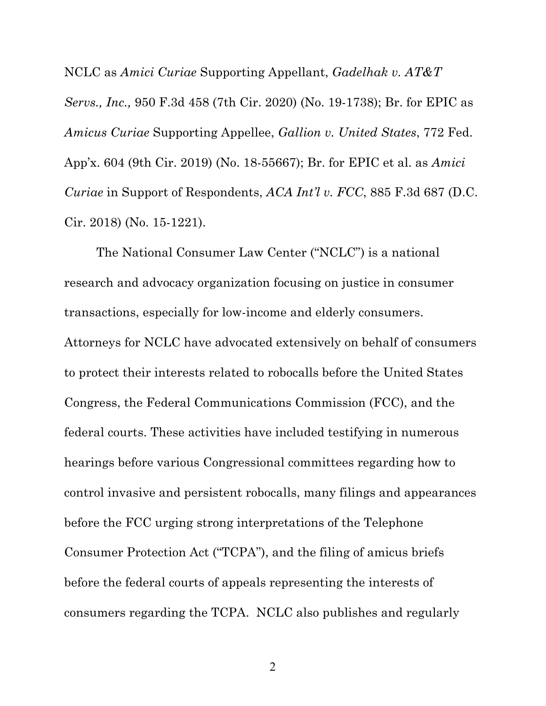NCLC as *Amici Curiae* Supporting Appellant, *Gadelhak v. AT&T Servs., Inc.,* 950 F.3d 458 (7th Cir. 2020) (No. 19-1738); Br. for EPIC as *Amicus Curiae* Supporting Appellee, *Gallion v. United States*, 772 Fed. App'x. 604 (9th Cir. 2019) (No. 18-55667); Br. for EPIC et al. as *Amici Curiae* in Support of Respondents, *ACA Int'l v. FCC*, 885 F.3d 687 (D.C. Cir. 2018) (No. 15-1221).

The National Consumer Law Center ("NCLC") is a national research and advocacy organization focusing on justice in consumer transactions, especially for low-income and elderly consumers. Attorneys for NCLC have advocated extensively on behalf of consumers to protect their interests related to robocalls before the United States Congress, the Federal Communications Commission (FCC), and the federal courts. These activities have included testifying in numerous hearings before various Congressional committees regarding how to control invasive and persistent robocalls, many filings and appearances before the FCC urging strong interpretations of the Telephone Consumer Protection Act ("TCPA"), and the filing of amicus briefs before the federal courts of appeals representing the interests of consumers regarding the TCPA. NCLC also publishes and regularly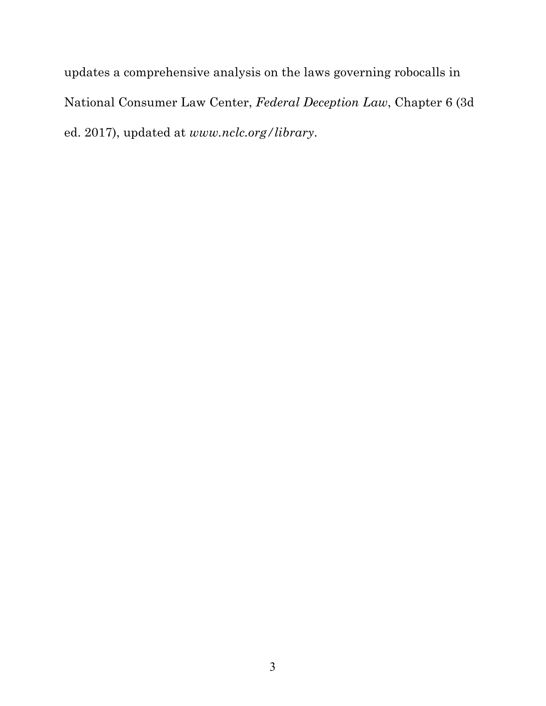updates a comprehensive analysis on the laws governing robocalls in National Consumer Law Center, *Federal Deception Law*, Chapter 6 (3d ed. 2017), updated at *www.nclc.org/library*.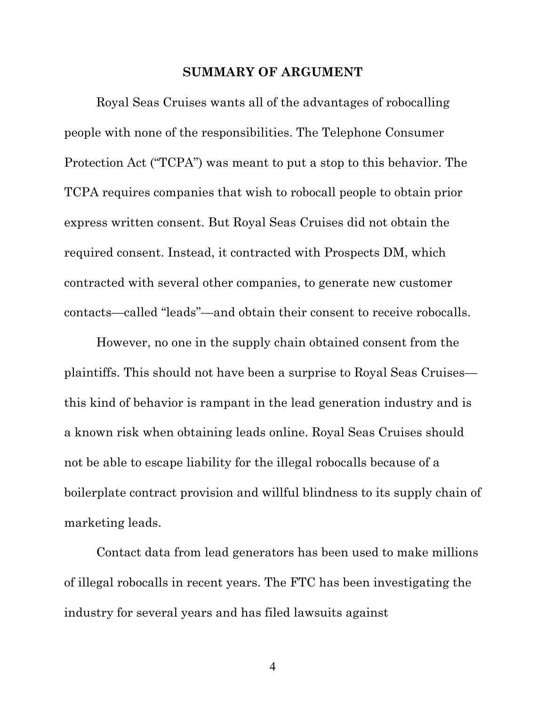#### **SUMMARY OF ARGUMENT**

Royal Seas Cruises wants all of the advantages of robocalling people with none of the responsibilities. The Telephone Consumer Protection Act ("TCPA") was meant to put a stop to this behavior. The TCPA requires companies that wish to robocall people to obtain prior express written consent. But Royal Seas Cruises did not obtain the required consent. Instead, it contracted with Prospects DM, which contracted with several other companies, to generate new customer contacts—called "leads"—and obtain their consent to receive robocalls.

However, no one in the supply chain obtained consent from the plaintiffs. This should not have been a surprise to Royal Seas Cruises this kind of behavior is rampant in the lead generation industry and is a known risk when obtaining leads online. Royal Seas Cruises should not be able to escape liability for the illegal robocalls because of a boilerplate contract provision and willful blindness to its supply chain of marketing leads.

Contact data from lead generators has been used to make millions of illegal robocalls in recent years. The FTC has been investigating the industry for several years and has filed lawsuits against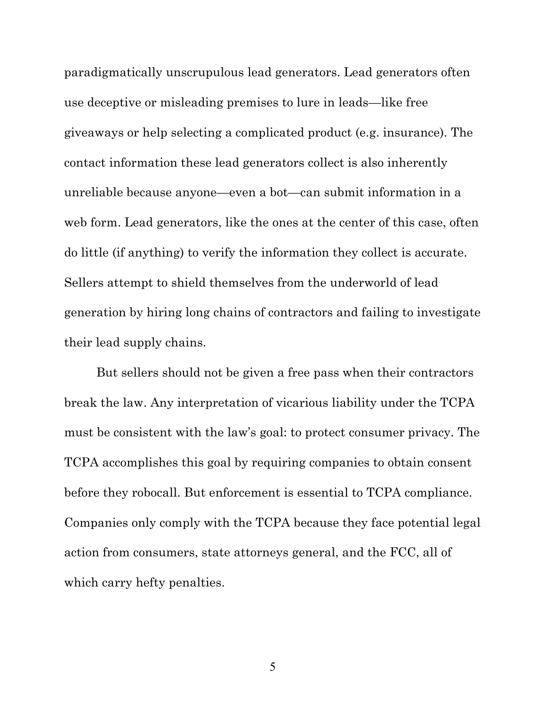paradigmatically unscrupulous lead generators. Lead generators often use deceptive or misleading premises to lure in leads—like free giveaways or help selecting a complicated product (e.g. insurance). The contact information these lead generators collect is also inherently unreliable because anyone—even a bot—can submit information in a web form. Lead generators, like the ones at the center of this case, often do little (if anything) to verify the information they collect is accurate. Sellers attempt to shield themselves from the underworld of lead generation by hiring long chains of contractors and failing to investigate their lead supply chains.

But sellers should not be given a free pass when their contractors break the law. Any interpretation of vicarious liability under the TCPA must be consistent with the law's goal: to protect consumer privacy. The TCPA accomplishes this goal by requiring companies to obtain consent before they robocall. But enforcement is essential to TCPA compliance. Companies only comply with the TCPA because they face potential legal action from consumers, state attorneys general, and the FCC, all of which carry hefty penalties.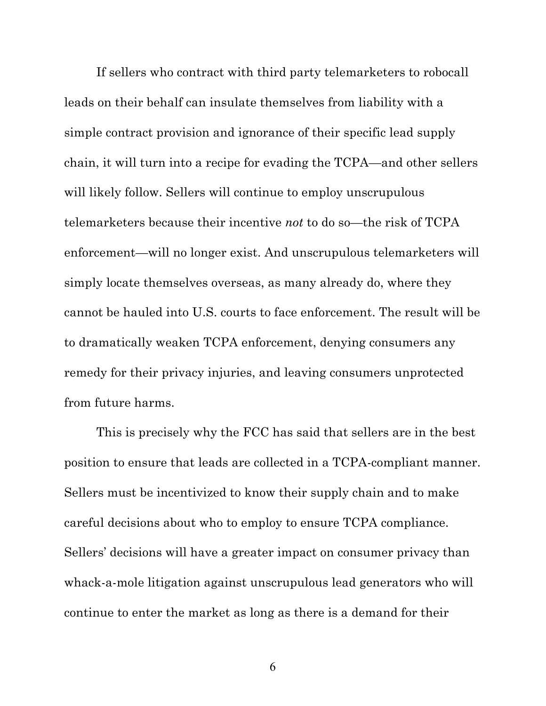If sellers who contract with third party telemarketers to robocall leads on their behalf can insulate themselves from liability with a simple contract provision and ignorance of their specific lead supply chain, it will turn into a recipe for evading the TCPA—and other sellers will likely follow. Sellers will continue to employ unscrupulous telemarketers because their incentive *not* to do so—the risk of TCPA enforcement—will no longer exist. And unscrupulous telemarketers will simply locate themselves overseas, as many already do, where they cannot be hauled into U.S. courts to face enforcement. The result will be to dramatically weaken TCPA enforcement, denying consumers any remedy for their privacy injuries, and leaving consumers unprotected from future harms.

This is precisely why the FCC has said that sellers are in the best position to ensure that leads are collected in a TCPA-compliant manner. Sellers must be incentivized to know their supply chain and to make careful decisions about who to employ to ensure TCPA compliance. Sellers' decisions will have a greater impact on consumer privacy than whack-a-mole litigation against unscrupulous lead generators who will continue to enter the market as long as there is a demand for their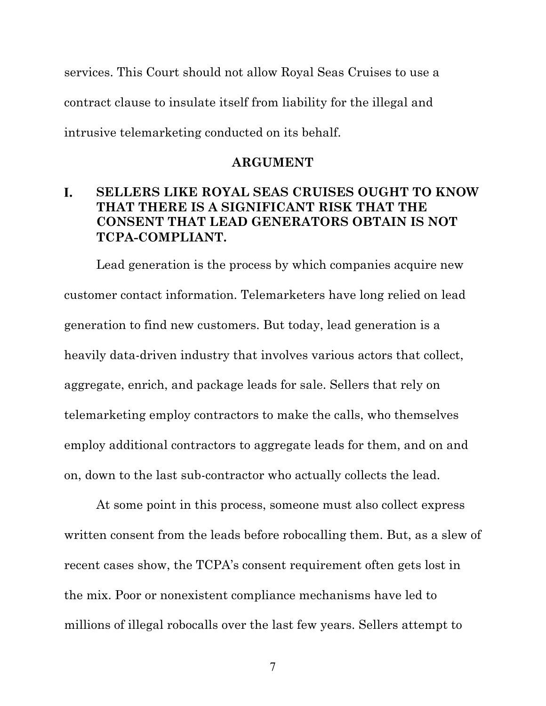services. This Court should not allow Royal Seas Cruises to use a contract clause to insulate itself from liability for the illegal and intrusive telemarketing conducted on its behalf.

#### **ARGUMENT**

#### L. **SELLERS LIKE ROYAL SEAS CRUISES OUGHT TO KNOW THAT THERE IS A SIGNIFICANT RISK THAT THE CONSENT THAT LEAD GENERATORS OBTAIN IS NOT TCPA-COMPLIANT.**

Lead generation is the process by which companies acquire new customer contact information. Telemarketers have long relied on lead generation to find new customers. But today, lead generation is a heavily data-driven industry that involves various actors that collect, aggregate, enrich, and package leads for sale. Sellers that rely on telemarketing employ contractors to make the calls, who themselves employ additional contractors to aggregate leads for them, and on and on, down to the last sub-contractor who actually collects the lead.

At some point in this process, someone must also collect express written consent from the leads before robocalling them. But, as a slew of recent cases show, the TCPA's consent requirement often gets lost in the mix. Poor or nonexistent compliance mechanisms have led to millions of illegal robocalls over the last few years. Sellers attempt to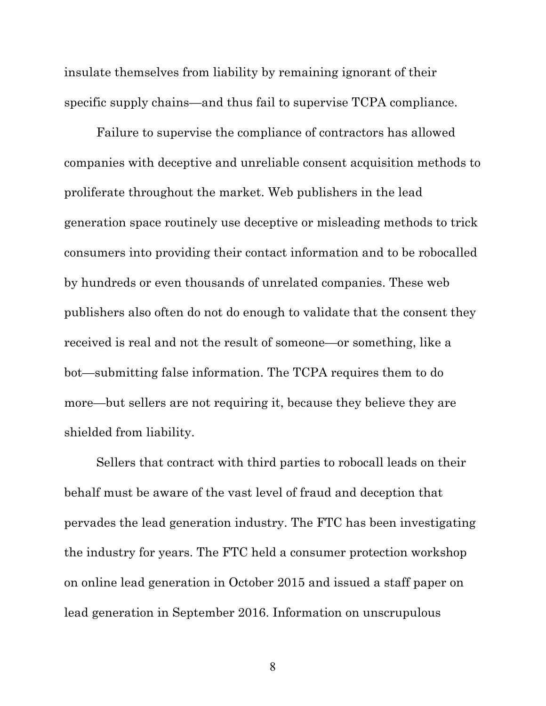insulate themselves from liability by remaining ignorant of their specific supply chains—and thus fail to supervise TCPA compliance.

Failure to supervise the compliance of contractors has allowed companies with deceptive and unreliable consent acquisition methods to proliferate throughout the market. Web publishers in the lead generation space routinely use deceptive or misleading methods to trick consumers into providing their contact information and to be robocalled by hundreds or even thousands of unrelated companies. These web publishers also often do not do enough to validate that the consent they received is real and not the result of someone—or something, like a bot—submitting false information. The TCPA requires them to do more—but sellers are not requiring it, because they believe they are shielded from liability.

Sellers that contract with third parties to robocall leads on their behalf must be aware of the vast level of fraud and deception that pervades the lead generation industry. The FTC has been investigating the industry for years. The FTC held a consumer protection workshop on online lead generation in October 2015 and issued a staff paper on lead generation in September 2016. Information on unscrupulous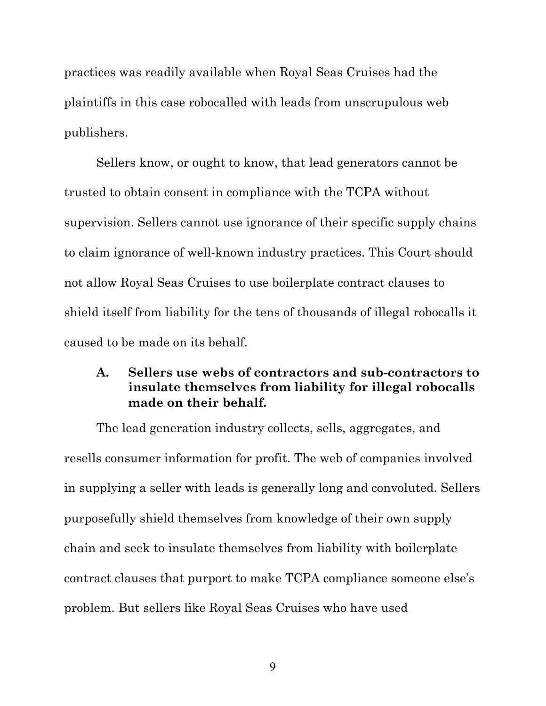practices was readily available when Royal Seas Cruises had the plaintiffs in this case robocalled with leads from unscrupulous web publishers.

Sellers know, or ought to know, that lead generators cannot be trusted to obtain consent in compliance with the TCPA without supervision. Sellers cannot use ignorance of their specific supply chains to claim ignorance of well-known industry practices. This Court should not allow Royal Seas Cruises to use boilerplate contract clauses to shield itself from liability for the tens of thousands of illegal robocalls it caused to be made on its behalf.

### **A. Sellers use webs of contractors and sub-contractors to insulate themselves from liability for illegal robocalls made on their behalf.**

The lead generation industry collects, sells, aggregates, and resells consumer information for profit. The web of companies involved in supplying a seller with leads is generally long and convoluted. Sellers purposefully shield themselves from knowledge of their own supply chain and seek to insulate themselves from liability with boilerplate contract clauses that purport to make TCPA compliance someone else's problem. But sellers like Royal Seas Cruises who have used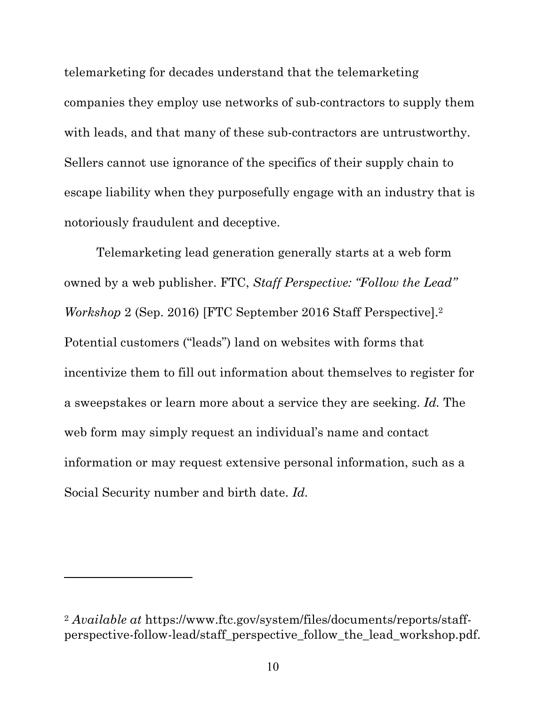telemarketing for decades understand that the telemarketing companies they employ use networks of sub-contractors to supply them with leads, and that many of these sub-contractors are untrustworthy. Sellers cannot use ignorance of the specifics of their supply chain to escape liability when they purposefully engage with an industry that is notoriously fraudulent and deceptive.

Telemarketing lead generation generally starts at a web form owned by a web publisher. FTC, *Staff Perspective: "Follow the Lead" Workshop* 2 (Sep. 2016) [FTC September 2016 Staff Perspective].2 Potential customers ("leads") land on websites with forms that incentivize them to fill out information about themselves to register for a sweepstakes or learn more about a service they are seeking. *Id.* The web form may simply request an individual's name and contact information or may request extensive personal information, such as a Social Security number and birth date. *Id.*

<sup>2</sup> *Available at* https://www.ftc.gov/system/files/documents/reports/staffperspective-follow-lead/staff\_perspective\_follow\_the\_lead\_workshop.pdf.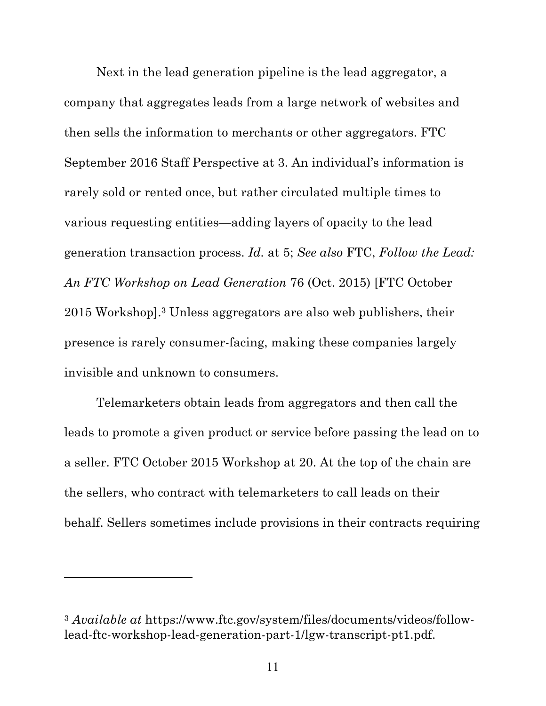Next in the lead generation pipeline is the lead aggregator, a company that aggregates leads from a large network of websites and then sells the information to merchants or other aggregators. FTC September 2016 Staff Perspective at 3. An individual's information is rarely sold or rented once, but rather circulated multiple times to various requesting entities—adding layers of opacity to the lead generation transaction process. *Id.* at 5; *See also* FTC, *Follow the Lead: An FTC Workshop on Lead Generation* 76 (Oct. 2015) [FTC October 2015 Workshop].3 Unless aggregators are also web publishers, their presence is rarely consumer-facing, making these companies largely invisible and unknown to consumers.

Telemarketers obtain leads from aggregators and then call the leads to promote a given product or service before passing the lead on to a seller. FTC October 2015 Workshop at 20. At the top of the chain are the sellers, who contract with telemarketers to call leads on their behalf. Sellers sometimes include provisions in their contracts requiring

<sup>3</sup> *Available at* https://www.ftc.gov/system/files/documents/videos/followlead-ftc-workshop-lead-generation-part-1/lgw-transcript-pt1.pdf.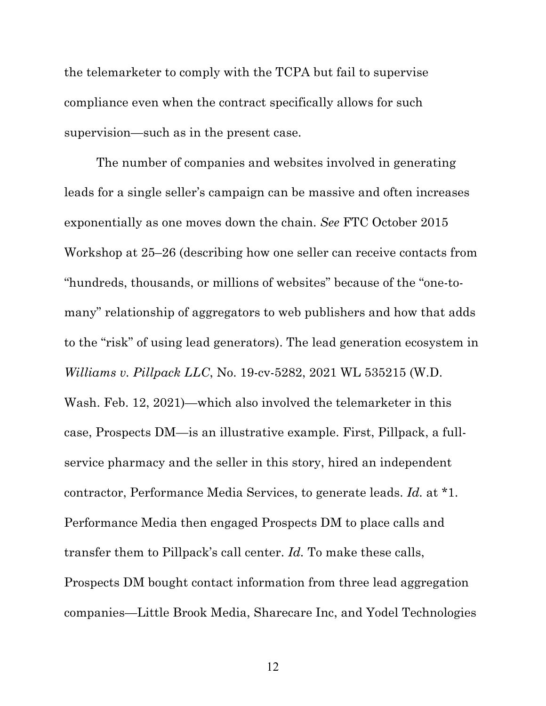the telemarketer to comply with the TCPA but fail to supervise compliance even when the contract specifically allows for such supervision—such as in the present case.

The number of companies and websites involved in generating leads for a single seller's campaign can be massive and often increases exponentially as one moves down the chain. *See* FTC October 2015 Workshop at 25–26 (describing how one seller can receive contacts from "hundreds, thousands, or millions of websites" because of the "one-tomany" relationship of aggregators to web publishers and how that adds to the "risk" of using lead generators). The lead generation ecosystem in *Williams v. Pillpack LLC*, No. 19-cv-5282, 2021 WL 535215 (W.D. Wash. Feb. 12, 2021)—which also involved the telemarketer in this case, Prospects DM—is an illustrative example. First, Pillpack, a fullservice pharmacy and the seller in this story, hired an independent contractor, Performance Media Services, to generate leads. *Id.* at \*1. Performance Media then engaged Prospects DM to place calls and transfer them to Pillpack's call center. *Id.* To make these calls, Prospects DM bought contact information from three lead aggregation companies—Little Brook Media, Sharecare Inc, and Yodel Technologies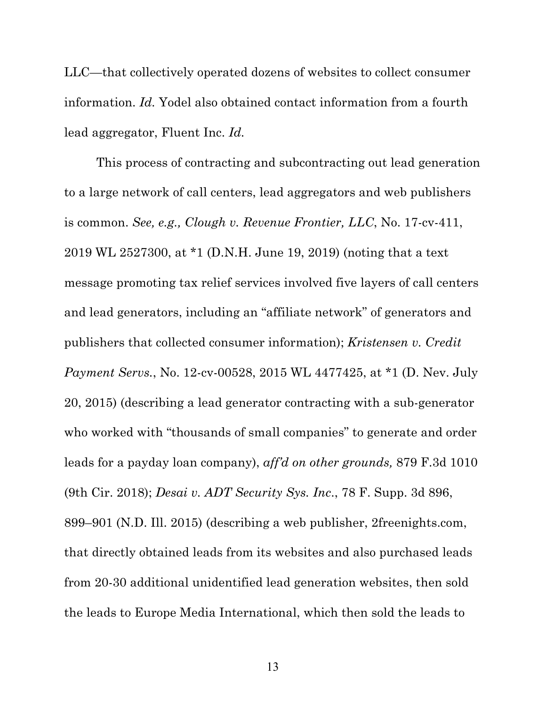LLC—that collectively operated dozens of websites to collect consumer information. *Id.* Yodel also obtained contact information from a fourth lead aggregator, Fluent Inc. *Id.*

This process of contracting and subcontracting out lead generation to a large network of call centers, lead aggregators and web publishers is common. *See, e.g., Clough v. Revenue Frontier, LLC*, No. 17-cv-411, 2019 WL 2527300, at \*1 (D.N.H. June 19, 2019) (noting that a text message promoting tax relief services involved five layers of call centers and lead generators, including an "affiliate network" of generators and publishers that collected consumer information); *Kristensen v. Credit Payment Servs.*, No. 12-cv-00528, 2015 WL 4477425, at \*1 (D. Nev. July 20, 2015) (describing a lead generator contracting with a sub-generator who worked with "thousands of small companies" to generate and order leads for a payday loan company), *aff'd on other grounds,* 879 F.3d 1010 (9th Cir. 2018); *Desai v. ADT Security Sys. Inc*., 78 F. Supp. 3d 896, 899–901 (N.D. Ill. 2015) (describing a web publisher, 2freenights.com, that directly obtained leads from its websites and also purchased leads from 20-30 additional unidentified lead generation websites, then sold the leads to Europe Media International, which then sold the leads to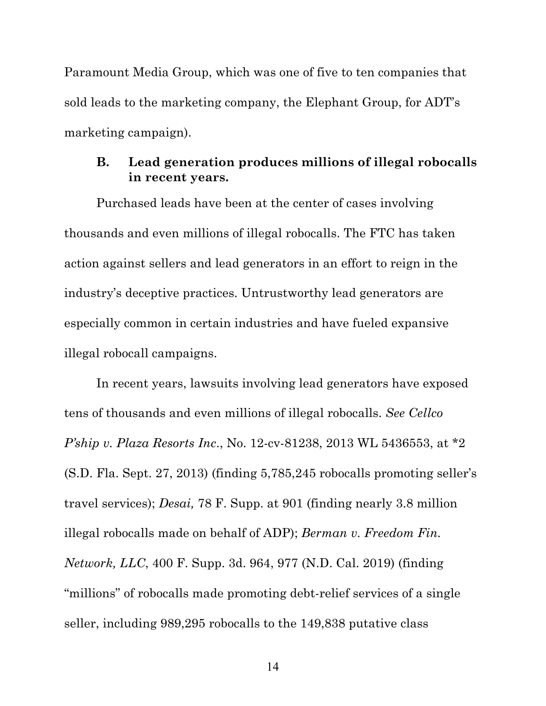Paramount Media Group, which was one of five to ten companies that sold leads to the marketing company, the Elephant Group, for ADT's marketing campaign).

### **B. Lead generation produces millions of illegal robocalls in recent years.**

Purchased leads have been at the center of cases involving thousands and even millions of illegal robocalls. The FTC has taken action against sellers and lead generators in an effort to reign in the industry's deceptive practices. Untrustworthy lead generators are especially common in certain industries and have fueled expansive illegal robocall campaigns.

In recent years, lawsuits involving lead generators have exposed tens of thousands and even millions of illegal robocalls. *See Cellco P'ship v. Plaza Resorts Inc*., No. 12-cv-81238, 2013 WL 5436553, at \*2 (S.D. Fla. Sept. 27, 2013) (finding 5,785,245 robocalls promoting seller's travel services); *Desai,* 78 F. Supp. at 901 (finding nearly 3.8 million illegal robocalls made on behalf of ADP); *Berman v. Freedom Fin. Network, LLC*, 400 F. Supp. 3d. 964, 977 (N.D. Cal. 2019) (finding "millions" of robocalls made promoting debt-relief services of a single seller, including 989,295 robocalls to the 149,838 putative class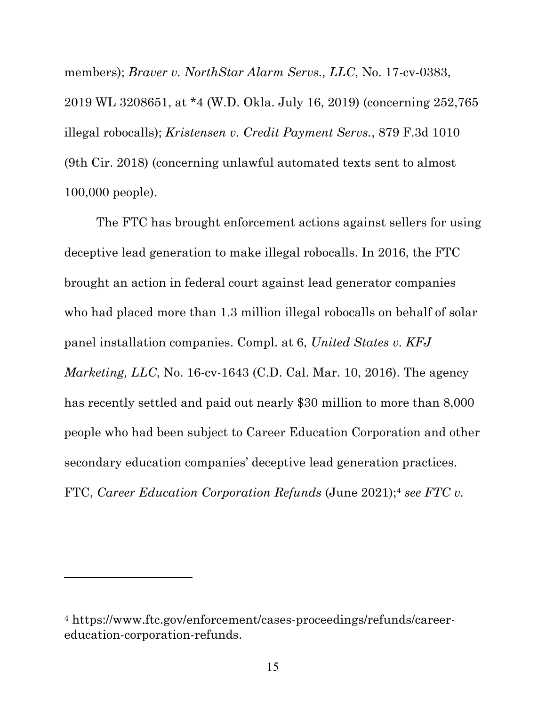members); *Braver v. NorthStar Alarm Servs., LLC*, No. 17-cv-0383, 2019 WL 3208651, at \*4 (W.D. Okla. July 16, 2019) (concerning 252,765 illegal robocalls); *Kristensen v. Credit Payment Servs.*, 879 F.3d 1010 (9th Cir. 2018) (concerning unlawful automated texts sent to almost 100,000 people).

The FTC has brought enforcement actions against sellers for using deceptive lead generation to make illegal robocalls. In 2016, the FTC brought an action in federal court against lead generator companies who had placed more than 1.3 million illegal robocalls on behalf of solar panel installation companies. Compl. at 6, *United States v. KFJ Marketing, LLC*, No. 16-cv-1643 (C.D. Cal. Mar. 10, 2016). The agency has recently settled and paid out nearly \$30 million to more than 8,000 people who had been subject to Career Education Corporation and other secondary education companies' deceptive lead generation practices. FTC, *Career Education Corporation Refunds* (June 2021);4 *see FTC v.* 

<sup>4</sup> https://www.ftc.gov/enforcement/cases-proceedings/refunds/careereducation-corporation-refunds.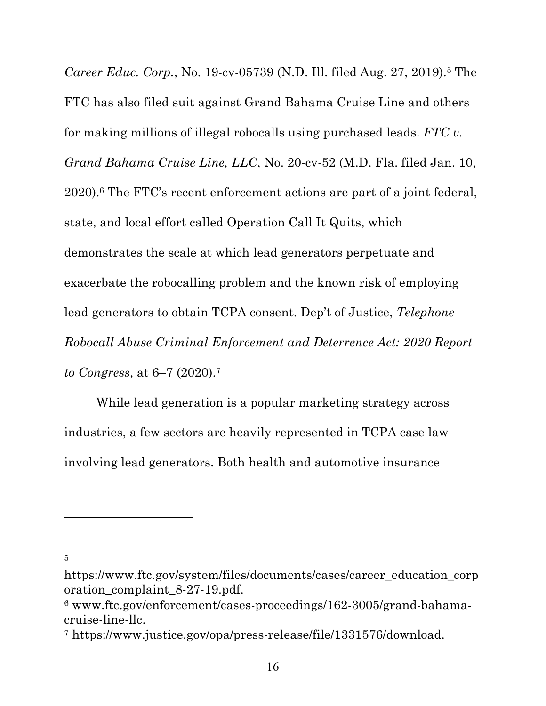*Career Educ. Corp.*, No. 19-cv-05739 (N.D. Ill. filed Aug. 27, 2019).5 The FTC has also filed suit against Grand Bahama Cruise Line and others for making millions of illegal robocalls using purchased leads. *FTC v. Grand Bahama Cruise Line, LLC*, No. 20-cv-52 (M.D. Fla. filed Jan. 10, 2020).6 The FTC's recent enforcement actions are part of a joint federal, state, and local effort called Operation Call It Quits, which demonstrates the scale at which lead generators perpetuate and exacerbate the robocalling problem and the known risk of employing lead generators to obtain TCPA consent. Dep't of Justice, *Telephone Robocall Abuse Criminal Enforcement and Deterrence Act: 2020 Report to Congress*, at 6–7 (2020).7

While lead generation is a popular marketing strategy across industries, a few sectors are heavily represented in TCPA case law involving lead generators. Both health and automotive insurance

https://www.ftc.gov/system/files/documents/cases/career\_education\_corp oration\_complaint\_8-27-19.pdf.

 $6$  www.ftc.gov/enforcement/cases-proceedings/162-3005/grand-bahamacruise-line-llc.

<sup>7</sup> https://www.justice.gov/opa/press-release/file/1331576/download.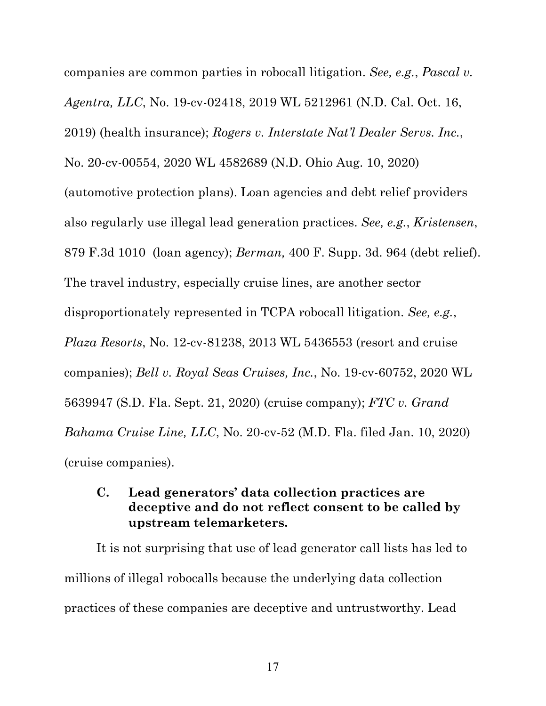companies are common parties in robocall litigation. *See, e.g.*, *Pascal v. Agentra, LLC*, No. 19-cv-02418, 2019 WL 5212961 (N.D. Cal. Oct. 16, 2019) (health insurance); *Rogers v. Interstate Nat'l Dealer Servs. Inc.*, No. 20-cv-00554, 2020 WL 4582689 (N.D. Ohio Aug. 10, 2020) (automotive protection plans). Loan agencies and debt relief providers also regularly use illegal lead generation practices. *See, e.g.*, *Kristensen*, 879 F.3d 1010 (loan agency); *Berman,* 400 F. Supp. 3d. 964 (debt relief). The travel industry, especially cruise lines, are another sector disproportionately represented in TCPA robocall litigation. *See, e.g.*, *Plaza Resorts*, No. 12-cv-81238, 2013 WL 5436553 (resort and cruise companies); *Bell v. Royal Seas Cruises, Inc.*, No. 19-cv-60752, 2020 WL 5639947 (S.D. Fla. Sept. 21, 2020) (cruise company); *FTC v. Grand Bahama Cruise Line, LLC*, No. 20-cv-52 (M.D. Fla. filed Jan. 10, 2020) (cruise companies).

## **C. Lead generators' data collection practices are deceptive and do not reflect consent to be called by upstream telemarketers.**

It is not surprising that use of lead generator call lists has led to millions of illegal robocalls because the underlying data collection practices of these companies are deceptive and untrustworthy. Lead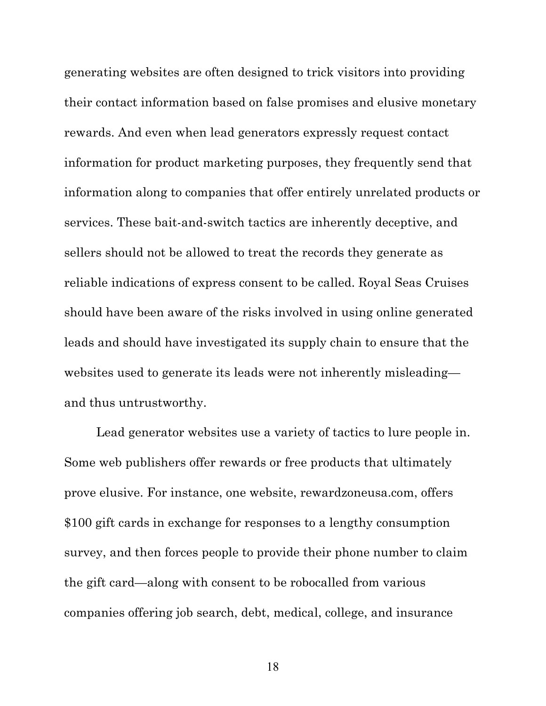generating websites are often designed to trick visitors into providing their contact information based on false promises and elusive monetary rewards. And even when lead generators expressly request contact information for product marketing purposes, they frequently send that information along to companies that offer entirely unrelated products or services. These bait-and-switch tactics are inherently deceptive, and sellers should not be allowed to treat the records they generate as reliable indications of express consent to be called. Royal Seas Cruises should have been aware of the risks involved in using online generated leads and should have investigated its supply chain to ensure that the websites used to generate its leads were not inherently misleading and thus untrustworthy.

Lead generator websites use a variety of tactics to lure people in. Some web publishers offer rewards or free products that ultimately prove elusive. For instance, one website, rewardzoneusa.com, offers \$100 gift cards in exchange for responses to a lengthy consumption survey, and then forces people to provide their phone number to claim the gift card—along with consent to be robocalled from various companies offering job search, debt, medical, college, and insurance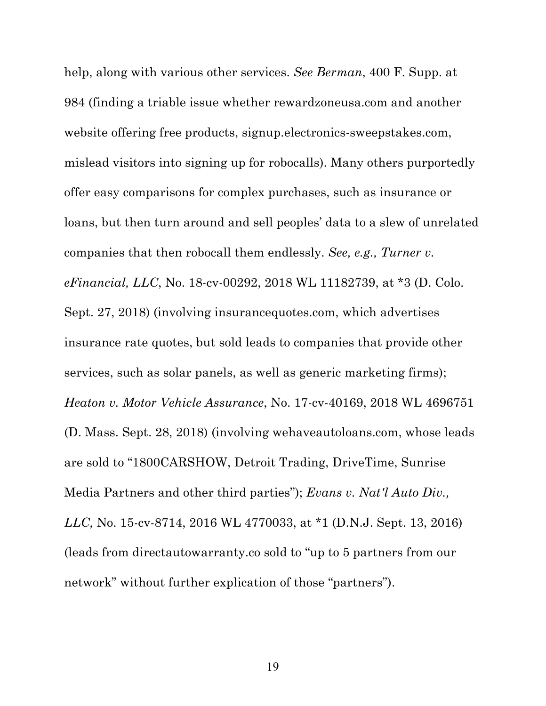help, along with various other services. *See Berman*, 400 F. Supp. at 984 (finding a triable issue whether rewardzoneusa.com and another website offering free products, signup.electronics-sweepstakes.com, mislead visitors into signing up for robocalls). Many others purportedly offer easy comparisons for complex purchases, such as insurance or loans, but then turn around and sell peoples' data to a slew of unrelated companies that then robocall them endlessly. *See, e.g., Turner v. eFinancial, LLC*, No. 18-cv-00292, 2018 WL 11182739, at \*3 (D. Colo. Sept. 27, 2018) (involving insurancequotes.com, which advertises insurance rate quotes, but sold leads to companies that provide other services, such as solar panels, as well as generic marketing firms); *Heaton v. Motor Vehicle Assurance*, No. 17-cv-40169, 2018 WL 4696751 (D. Mass. Sept. 28, 2018) (involving wehaveautoloans.com, whose leads are sold to "1800CARSHOW, Detroit Trading, DriveTime, Sunrise Media Partners and other third parties"); *Evans v. Nat'l Auto Div., LLC,* No. 15-cv-8714, 2016 WL 4770033, at \*1 (D.N.J. Sept. 13, 2016) (leads from directautowarranty.co sold to "up to 5 partners from our network" without further explication of those "partners").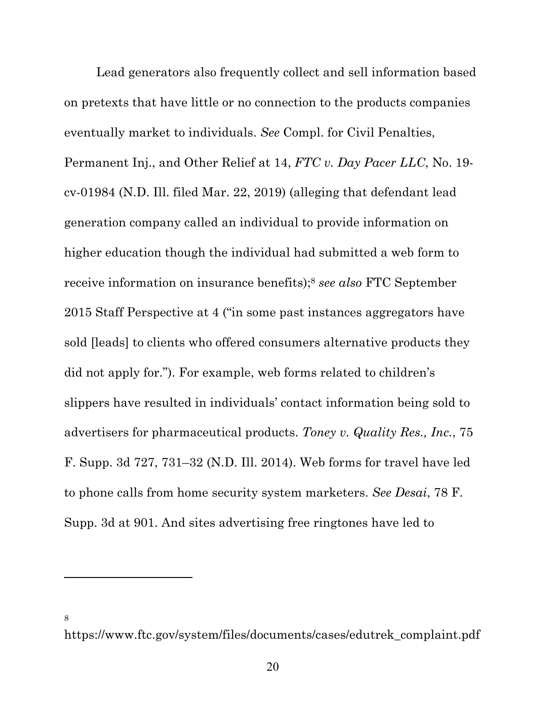Lead generators also frequently collect and sell information based on pretexts that have little or no connection to the products companies eventually market to individuals. *See* Compl. for Civil Penalties, Permanent Inj., and Other Relief at 14, *FTC v. Day Pacer LLC*, No. 19 cv-01984 (N.D. Ill. filed Mar. 22, 2019) (alleging that defendant lead generation company called an individual to provide information on higher education though the individual had submitted a web form to receive information on insurance benefits);8 *see also* FTC September 2015 Staff Perspective at 4 ("in some past instances aggregators have sold [leads] to clients who offered consumers alternative products they did not apply for."). For example, web forms related to children's slippers have resulted in individuals' contact information being sold to advertisers for pharmaceutical products. *Toney v. Quality Res., Inc.*, 75 F. Supp. 3d 727, 731–32 (N.D. Ill. 2014). Web forms for travel have led to phone calls from home security system marketers. *See Desai*, 78 F. Supp. 3d at 901. And sites advertising free ringtones have led to

https://www.ftc.gov/system/files/documents/cases/edutrek\_complaint.pdf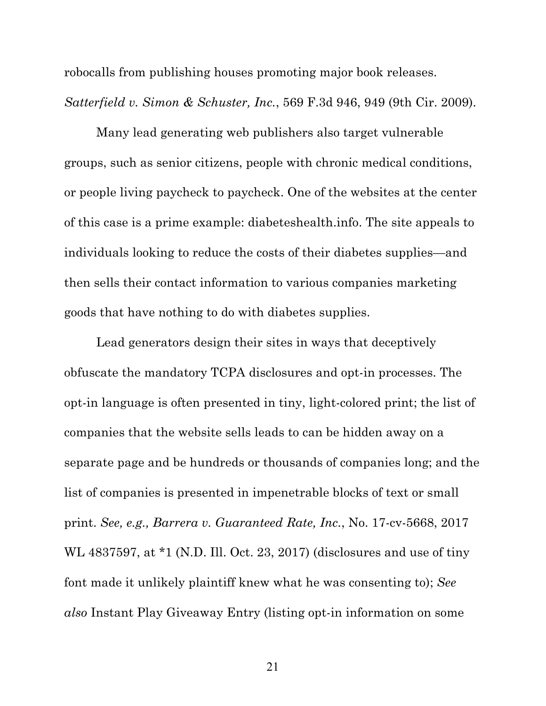robocalls from publishing houses promoting major book releases. *Satterfield v. Simon & Schuster, Inc.*, 569 F.3d 946, 949 (9th Cir. 2009).

Many lead generating web publishers also target vulnerable groups, such as senior citizens, people with chronic medical conditions, or people living paycheck to paycheck. One of the websites at the center of this case is a prime example: diabeteshealth.info. The site appeals to individuals looking to reduce the costs of their diabetes supplies—and then sells their contact information to various companies marketing goods that have nothing to do with diabetes supplies.

Lead generators design their sites in ways that deceptively obfuscate the mandatory TCPA disclosures and opt-in processes. The opt-in language is often presented in tiny, light-colored print; the list of companies that the website sells leads to can be hidden away on a separate page and be hundreds or thousands of companies long; and the list of companies is presented in impenetrable blocks of text or small print. *See, e.g., Barrera v. Guaranteed Rate, Inc.*, No. 17-cv-5668, 2017 WL 4837597, at \*1 (N.D. Ill. Oct. 23, 2017) (disclosures and use of tiny font made it unlikely plaintiff knew what he was consenting to); *See also* Instant Play Giveaway Entry (listing opt-in information on some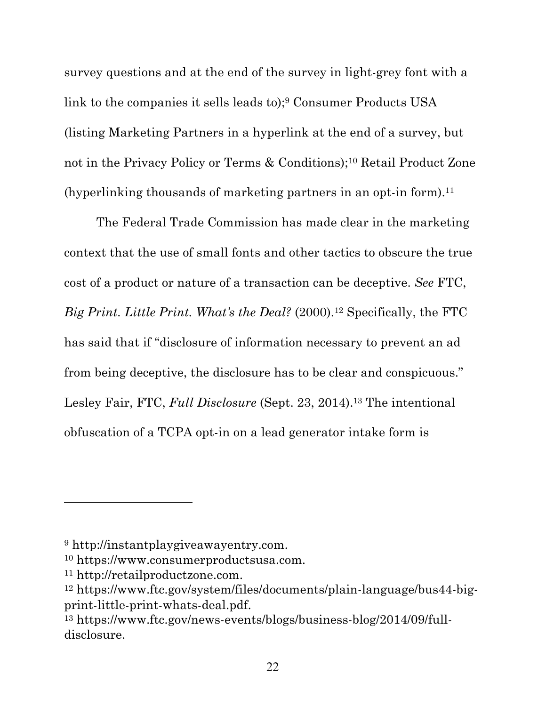survey questions and at the end of the survey in light-grey font with a link to the companies it sells leads to);9 Consumer Products USA (listing Marketing Partners in a hyperlink at the end of a survey, but not in the Privacy Policy or Terms & Conditions);10 Retail Product Zone (hyperlinking thousands of marketing partners in an opt-in form).11

The Federal Trade Commission has made clear in the marketing context that the use of small fonts and other tactics to obscure the true cost of a product or nature of a transaction can be deceptive. *See* FTC, *Big Print. Little Print. What's the Deal?* (2000).<sup>12</sup> Specifically, the FTC has said that if "disclosure of information necessary to prevent an ad from being deceptive, the disclosure has to be clear and conspicuous." Lesley Fair, FTC, *Full Disclosure* (Sept. 23, 2014).13 The intentional obfuscation of a TCPA opt-in on a lead generator intake form is

<sup>9</sup> http://instantplaygiveawayentry.com.

<sup>10</sup> https://www.consumerproductsusa.com.

<sup>11</sup> http://retailproductzone.com.

<sup>12</sup> https://www.ftc.gov/system/files/documents/plain-language/bus44-bigprint-little-print-whats-deal.pdf.

<sup>13</sup> https://www.ftc.gov/news-events/blogs/business-blog/2014/09/fulldisclosure.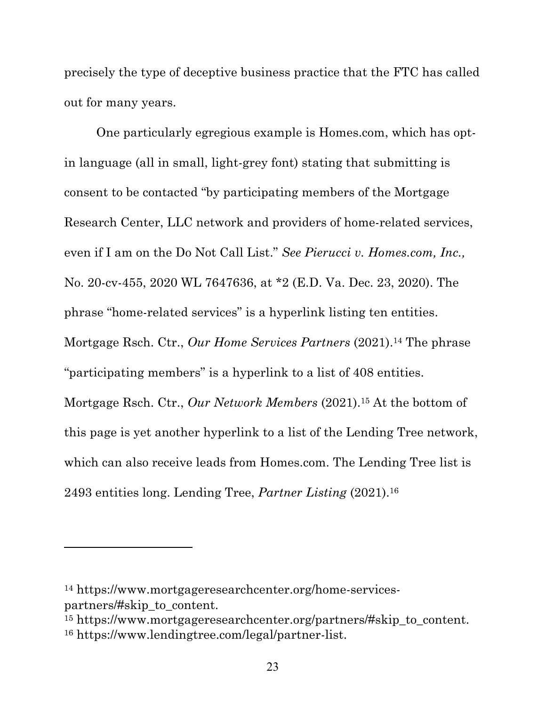precisely the type of deceptive business practice that the FTC has called out for many years.

One particularly egregious example is Homes.com, which has optin language (all in small, light-grey font) stating that submitting is consent to be contacted "by participating members of the Mortgage Research Center, LLC network and providers of home-related services, even if I am on the Do Not Call List." *See Pierucci v. Homes.com, Inc.,* No. 20-cv-455, 2020 WL 7647636, at \*2 (E.D. Va. Dec. 23, 2020). The phrase "home-related services" is a hyperlink listing ten entities. Mortgage Rsch. Ctr., *Our Home Services Partners* (2021).14 The phrase "participating members" is a hyperlink to a list of 408 entities. Mortgage Rsch. Ctr., *Our Network Members* (2021).15 At the bottom of this page is yet another hyperlink to a list of the Lending Tree network, which can also receive leads from Homes.com. The Lending Tree list is 2493 entities long. Lending Tree, *Partner Listing* (2021).16

<sup>14</sup> https://www.mortgageresearchcenter.org/home-servicespartners/#skip\_to\_content.

<sup>15</sup> https://www.mortgageresearchcenter.org/partners/#skip\_to\_content. <sup>16</sup> https://www.lendingtree.com/legal/partner-list.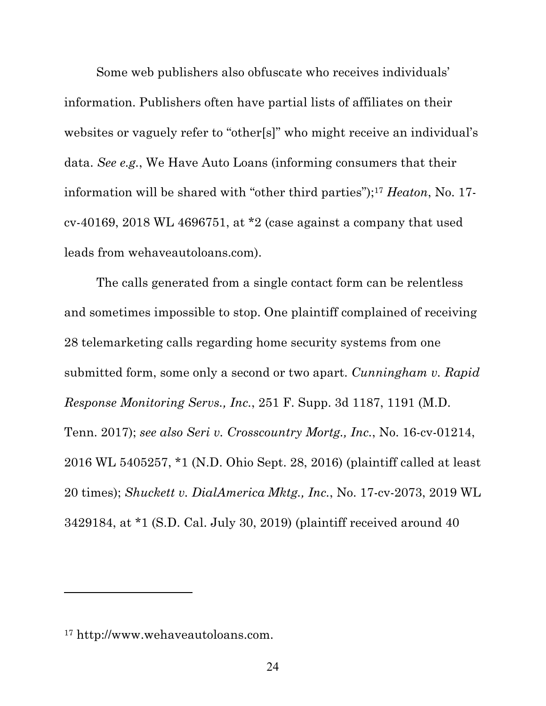Some web publishers also obfuscate who receives individuals' information. Publishers often have partial lists of affiliates on their websites or vaguely refer to "other[s]" who might receive an individual's data. *See e.g.*, We Have Auto Loans (informing consumers that their information will be shared with "other third parties");17 *Heaton*, No. 17 cv-40169, 2018 WL 4696751, at \*2 (case against a company that used leads from wehaveautoloans.com).

The calls generated from a single contact form can be relentless and sometimes impossible to stop. One plaintiff complained of receiving 28 telemarketing calls regarding home security systems from one submitted form, some only a second or two apart. *Cunningham v. Rapid Response Monitoring Servs., Inc.*, 251 F. Supp. 3d 1187, 1191 (M.D. Tenn. 2017); *see also Seri v. Crosscountry Mortg., Inc.*, No. 16-cv-01214, 2016 WL 5405257, \*1 (N.D. Ohio Sept. 28, 2016) (plaintiff called at least 20 times); *Shuckett v. DialAmerica Mktg., Inc.*, No. 17-cv-2073, 2019 WL 3429184, at \*1 (S.D. Cal. July 30, 2019) (plaintiff received around 40

<sup>17</sup> http://www.wehaveautoloans.com.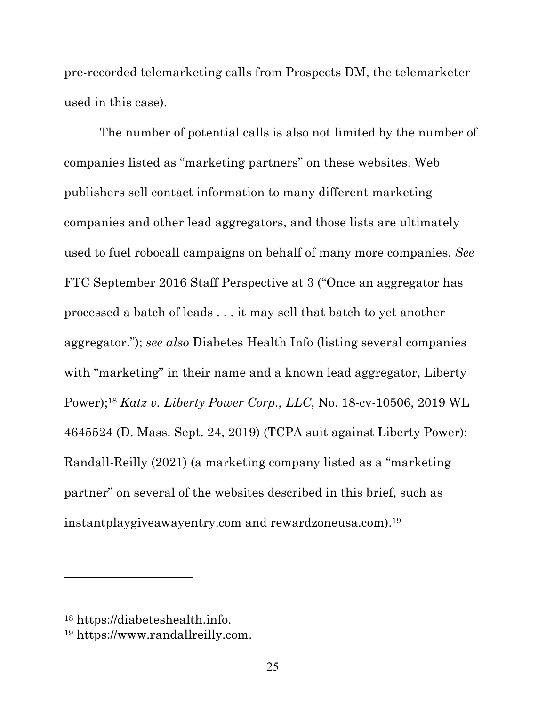pre-recorded telemarketing calls from Prospects DM, the telemarketer used in this case).

The number of potential calls is also not limited by the number of companies listed as "marketing partners" on these websites. Web publishers sell contact information to many different marketing companies and other lead aggregators, and those lists are ultimately used to fuel robocall campaigns on behalf of many more companies. *See*  FTC September 2016 Staff Perspective at 3 ("Once an aggregator has processed a batch of leads . . . it may sell that batch to yet another aggregator."); *see also* Diabetes Health Info (listing several companies with "marketing" in their name and a known lead aggregator, Liberty Power);18 *Katz v. Liberty Power Corp., LLC*, No. 18-cv-10506, 2019 WL 4645524 (D. Mass. Sept. 24, 2019) (TCPA suit against Liberty Power); Randall-Reilly (2021) (a marketing company listed as a "marketing partner" on several of the websites described in this brief, such as instantplaygiveawayentry.com and rewardzoneusa.com).19

<sup>18</sup> https://diabeteshealth.info.

<sup>19</sup> https://www.randallreilly.com.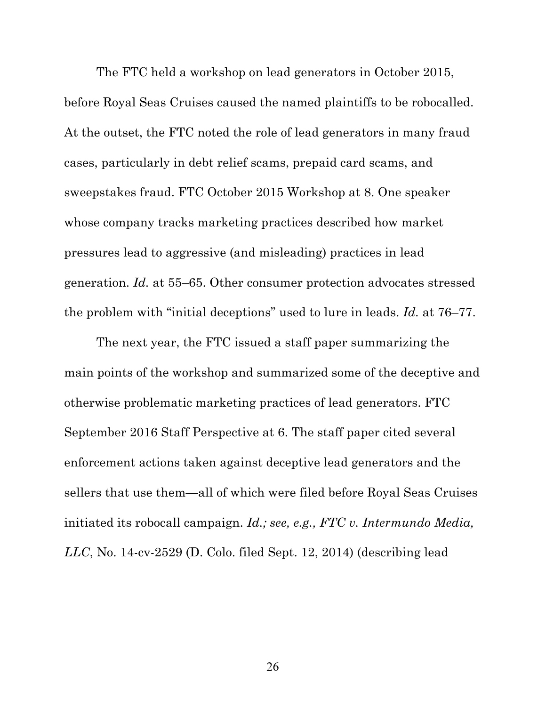The FTC held a workshop on lead generators in October 2015, before Royal Seas Cruises caused the named plaintiffs to be robocalled. At the outset, the FTC noted the role of lead generators in many fraud cases, particularly in debt relief scams, prepaid card scams, and sweepstakes fraud. FTC October 2015 Workshop at 8. One speaker whose company tracks marketing practices described how market pressures lead to aggressive (and misleading) practices in lead generation. *Id.* at 55–65. Other consumer protection advocates stressed the problem with "initial deceptions" used to lure in leads. *Id.* at 76–77.

The next year, the FTC issued a staff paper summarizing the main points of the workshop and summarized some of the deceptive and otherwise problematic marketing practices of lead generators. FTC September 2016 Staff Perspective at 6. The staff paper cited several enforcement actions taken against deceptive lead generators and the sellers that use them—all of which were filed before Royal Seas Cruises initiated its robocall campaign. *Id.; see, e.g., FTC v. Intermundo Media, LLC*, No. 14-cv-2529 (D. Colo. filed Sept. 12, 2014) (describing lead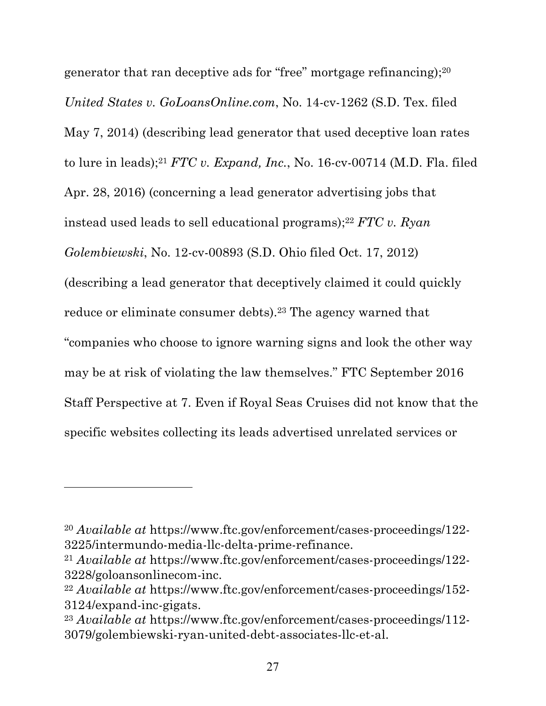generator that ran deceptive ads for "free" mortgage refinancing);20 *United States v. GoLoansOnline.com*, No. 14-cv-1262 (S.D. Tex. filed May 7, 2014) (describing lead generator that used deceptive loan rates to lure in leads);21 *FTC v. Expand, Inc.*, No. 16-cv-00714 (M.D. Fla. filed Apr. 28, 2016) (concerning a lead generator advertising jobs that instead used leads to sell educational programs);22 *FTC v. Ryan Golembiewski*, No. 12-cv-00893 (S.D. Ohio filed Oct. 17, 2012) (describing a lead generator that deceptively claimed it could quickly reduce or eliminate consumer debts).23 The agency warned that "companies who choose to ignore warning signs and look the other way may be at risk of violating the law themselves." FTC September 2016 Staff Perspective at 7. Even if Royal Seas Cruises did not know that the specific websites collecting its leads advertised unrelated services or

<sup>20</sup> *Available at* https://www.ftc.gov/enforcement/cases-proceedings/122- 3225/intermundo-media-llc-delta-prime-refinance.

<sup>21</sup> *Available at* https://www.ftc.gov/enforcement/cases-proceedings/122- 3228/goloansonlinecom-inc.

<sup>22</sup> *Available at* https://www.ftc.gov/enforcement/cases-proceedings/152- 3124/expand-inc-gigats.

<sup>23</sup> *Available at* https://www.ftc.gov/enforcement/cases-proceedings/112- 3079/golembiewski-ryan-united-debt-associates-llc-et-al.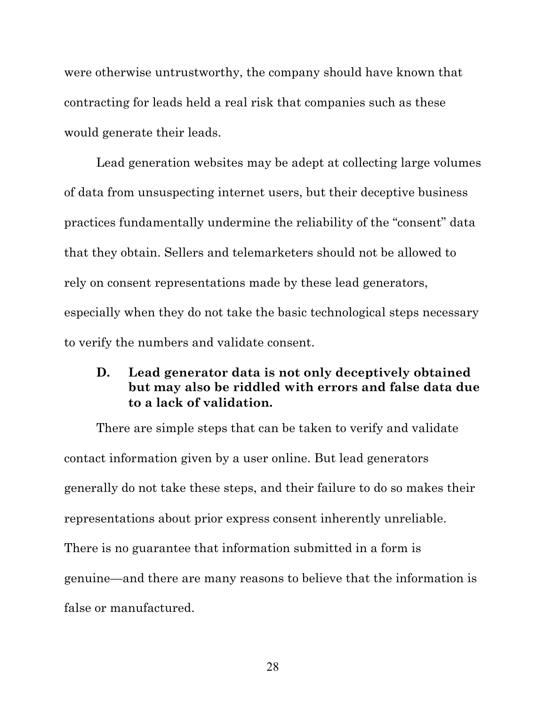were otherwise untrustworthy, the company should have known that contracting for leads held a real risk that companies such as these would generate their leads.

Lead generation websites may be adept at collecting large volumes of data from unsuspecting internet users, but their deceptive business practices fundamentally undermine the reliability of the "consent" data that they obtain. Sellers and telemarketers should not be allowed to rely on consent representations made by these lead generators, especially when they do not take the basic technological steps necessary to verify the numbers and validate consent.

### **D. Lead generator data is not only deceptively obtained but may also be riddled with errors and false data due to a lack of validation.**

There are simple steps that can be taken to verify and validate contact information given by a user online. But lead generators generally do not take these steps, and their failure to do so makes their representations about prior express consent inherently unreliable. There is no guarantee that information submitted in a form is genuine—and there are many reasons to believe that the information is false or manufactured.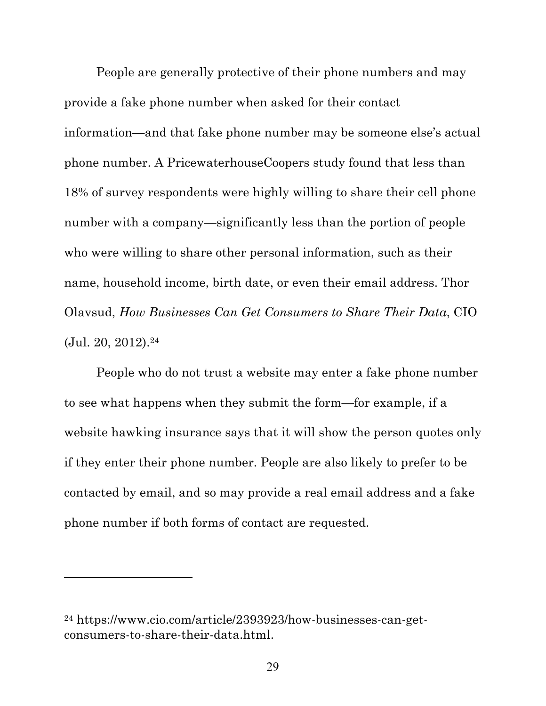People are generally protective of their phone numbers and may provide a fake phone number when asked for their contact information—and that fake phone number may be someone else's actual phone number. A PricewaterhouseCoopers study found that less than 18% of survey respondents were highly willing to share their cell phone number with a company—significantly less than the portion of people who were willing to share other personal information, such as their name, household income, birth date, or even their email address. Thor Olavsud, *How Businesses Can Get Consumers to Share Their Data*, CIO  $(Jul. 20, 2012).<sup>24</sup>$ 

People who do not trust a website may enter a fake phone number to see what happens when they submit the form—for example, if a website hawking insurance says that it will show the person quotes only if they enter their phone number. People are also likely to prefer to be contacted by email, and so may provide a real email address and a fake phone number if both forms of contact are requested.

<sup>24</sup> https://www.cio.com/article/2393923/how-businesses-can-getconsumers-to-share-their-data.html.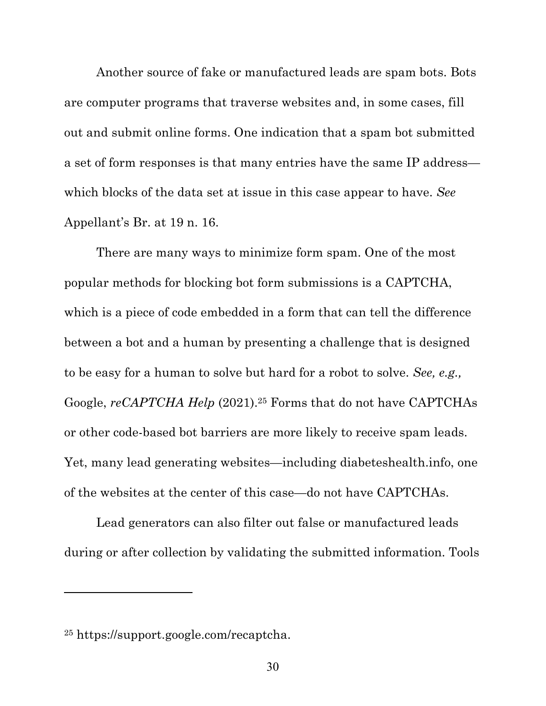Another source of fake or manufactured leads are spam bots. Bots are computer programs that traverse websites and, in some cases, fill out and submit online forms. One indication that a spam bot submitted a set of form responses is that many entries have the same IP address which blocks of the data set at issue in this case appear to have. *See*  Appellant's Br. at 19 n. 16.

There are many ways to minimize form spam. One of the most popular methods for blocking bot form submissions is a CAPTCHA, which is a piece of code embedded in a form that can tell the difference between a bot and a human by presenting a challenge that is designed to be easy for a human to solve but hard for a robot to solve. *See, e.g.,*  Google, *reCAPTCHA Help* (2021).<sup>25</sup> Forms that do not have CAPTCHAs or other code-based bot barriers are more likely to receive spam leads. Yet, many lead generating websites—including diabeteshealth.info, one of the websites at the center of this case—do not have CAPTCHAs.

Lead generators can also filter out false or manufactured leads during or after collection by validating the submitted information. Tools

<sup>25</sup> https://support.google.com/recaptcha.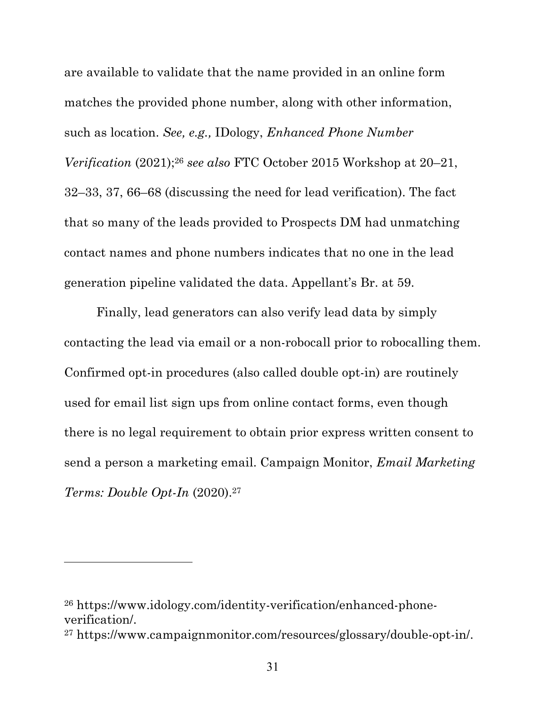are available to validate that the name provided in an online form matches the provided phone number, along with other information, such as location. *See, e.g.,* IDology, *Enhanced Phone Number Verification* (2021);26 *see also* FTC October 2015 Workshop at 20–21, 32–33, 37, 66–68 (discussing the need for lead verification). The fact that so many of the leads provided to Prospects DM had unmatching contact names and phone numbers indicates that no one in the lead generation pipeline validated the data. Appellant's Br. at 59.

Finally, lead generators can also verify lead data by simply contacting the lead via email or a non-robocall prior to robocalling them. Confirmed opt-in procedures (also called double opt-in) are routinely used for email list sign ups from online contact forms, even though there is no legal requirement to obtain prior express written consent to send a person a marketing email. Campaign Monitor, *Email Marketing Terms: Double Opt-In* (2020).27

<sup>26</sup> https://www.idology.com/identity-verification/enhanced-phoneverification/.

<sup>27</sup> https://www.campaignmonitor.com/resources/glossary/double-opt-in/.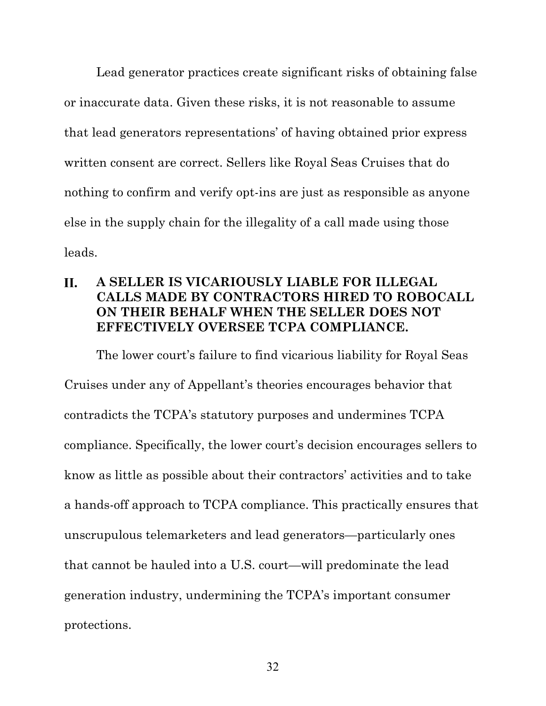Lead generator practices create significant risks of obtaining false or inaccurate data. Given these risks, it is not reasonable to assume that lead generators representations' of having obtained prior express written consent are correct. Sellers like Royal Seas Cruises that do nothing to confirm and verify opt-ins are just as responsible as anyone else in the supply chain for the illegality of a call made using those leads.

#### **A SELLER IS VICARIOUSLY LIABLE FOR ILLEGAL II. CALLS MADE BY CONTRACTORS HIRED TO ROBOCALL ON THEIR BEHALF WHEN THE SELLER DOES NOT EFFECTIVELY OVERSEE TCPA COMPLIANCE.**

The lower court's failure to find vicarious liability for Royal Seas Cruises under any of Appellant's theories encourages behavior that contradicts the TCPA's statutory purposes and undermines TCPA compliance. Specifically, the lower court's decision encourages sellers to know as little as possible about their contractors' activities and to take a hands-off approach to TCPA compliance. This practically ensures that unscrupulous telemarketers and lead generators—particularly ones that cannot be hauled into a U.S. court—will predominate the lead generation industry, undermining the TCPA's important consumer protections.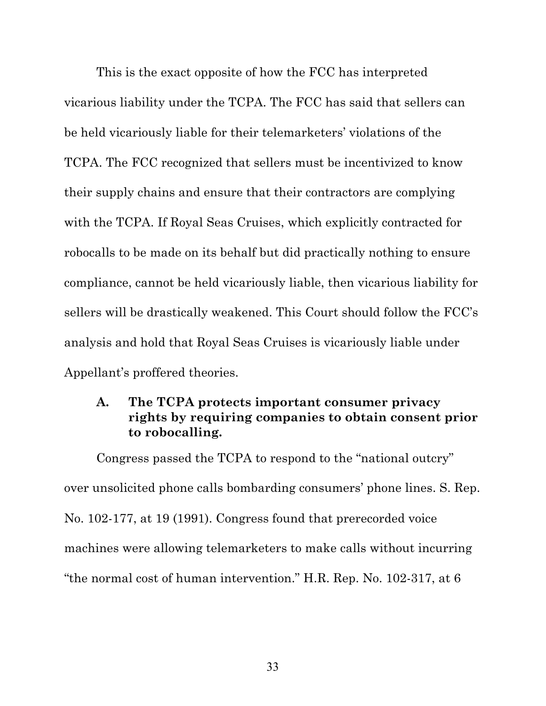This is the exact opposite of how the FCC has interpreted vicarious liability under the TCPA. The FCC has said that sellers can be held vicariously liable for their telemarketers' violations of the TCPA. The FCC recognized that sellers must be incentivized to know their supply chains and ensure that their contractors are complying with the TCPA. If Royal Seas Cruises, which explicitly contracted for robocalls to be made on its behalf but did practically nothing to ensure compliance, cannot be held vicariously liable, then vicarious liability for sellers will be drastically weakened. This Court should follow the FCC's analysis and hold that Royal Seas Cruises is vicariously liable under Appellant's proffered theories.

### **A. The TCPA protects important consumer privacy rights by requiring companies to obtain consent prior to robocalling.**

Congress passed the TCPA to respond to the "national outcry" over unsolicited phone calls bombarding consumers' phone lines. S. Rep. No. 102-177, at 19 (1991). Congress found that prerecorded voice machines were allowing telemarketers to make calls without incurring "the normal cost of human intervention." H.R. Rep. No. 102-317, at 6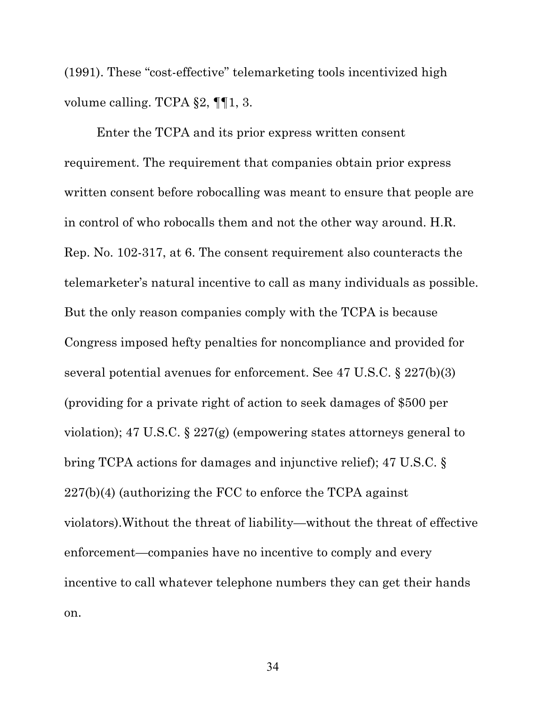(1991). These "cost-effective" telemarketing tools incentivized high volume calling. TCPA §2, ¶¶1, 3.

Enter the TCPA and its prior express written consent requirement. The requirement that companies obtain prior express written consent before robocalling was meant to ensure that people are in control of who robocalls them and not the other way around. H.R. Rep. No. 102-317, at 6. The consent requirement also counteracts the telemarketer's natural incentive to call as many individuals as possible. But the only reason companies comply with the TCPA is because Congress imposed hefty penalties for noncompliance and provided for several potential avenues for enforcement. See 47 U.S.C. § 227(b)(3) (providing for a private right of action to seek damages of \$500 per violation); 47 U.S.C. § 227(g) (empowering states attorneys general to bring TCPA actions for damages and injunctive relief); 47 U.S.C. § 227(b)(4) (authorizing the FCC to enforce the TCPA against violators).Without the threat of liability—without the threat of effective enforcement—companies have no incentive to comply and every incentive to call whatever telephone numbers they can get their hands on.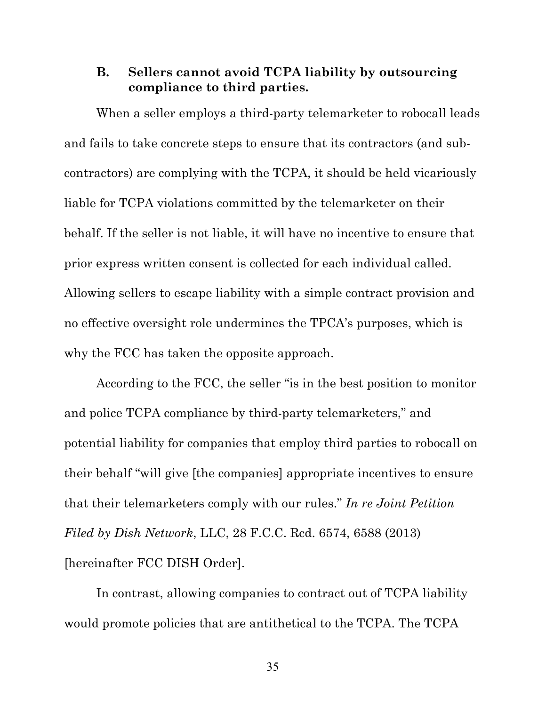### **B. Sellers cannot avoid TCPA liability by outsourcing compliance to third parties.**

When a seller employs a third-party telemarketer to robocall leads and fails to take concrete steps to ensure that its contractors (and subcontractors) are complying with the TCPA, it should be held vicariously liable for TCPA violations committed by the telemarketer on their behalf. If the seller is not liable, it will have no incentive to ensure that prior express written consent is collected for each individual called. Allowing sellers to escape liability with a simple contract provision and no effective oversight role undermines the TPCA's purposes, which is why the FCC has taken the opposite approach.

According to the FCC, the seller "is in the best position to monitor and police TCPA compliance by third-party telemarketers," and potential liability for companies that employ third parties to robocall on their behalf "will give [the companies] appropriate incentives to ensure that their telemarketers comply with our rules." *In re Joint Petition Filed by Dish Network*, LLC, 28 F.C.C. Rcd. 6574, 6588 (2013) [hereinafter FCC DISH Order].

In contrast, allowing companies to contract out of TCPA liability would promote policies that are antithetical to the TCPA. The TCPA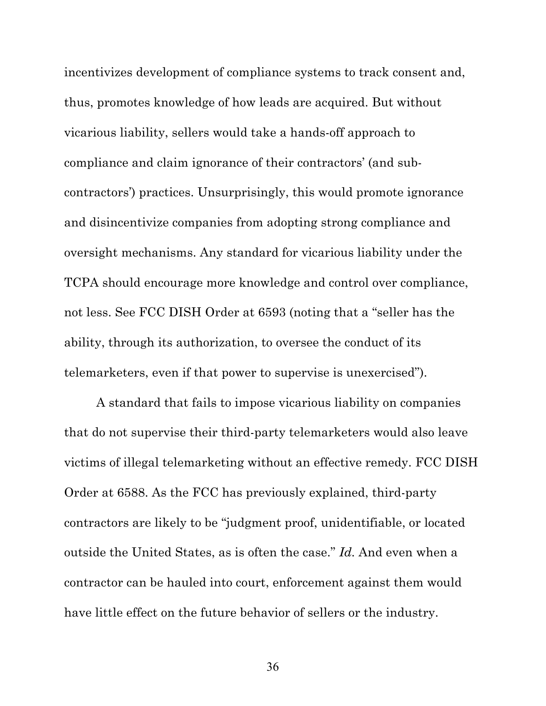incentivizes development of compliance systems to track consent and, thus, promotes knowledge of how leads are acquired. But without vicarious liability, sellers would take a hands-off approach to compliance and claim ignorance of their contractors' (and subcontractors') practices. Unsurprisingly, this would promote ignorance and disincentivize companies from adopting strong compliance and oversight mechanisms. Any standard for vicarious liability under the TCPA should encourage more knowledge and control over compliance, not less. See FCC DISH Order at 6593 (noting that a "seller has the ability, through its authorization, to oversee the conduct of its telemarketers, even if that power to supervise is unexercised").

A standard that fails to impose vicarious liability on companies that do not supervise their third-party telemarketers would also leave victims of illegal telemarketing without an effective remedy. FCC DISH Order at 6588. As the FCC has previously explained, third-party contractors are likely to be "judgment proof, unidentifiable, or located outside the United States, as is often the case." *Id.* And even when a contractor can be hauled into court, enforcement against them would have little effect on the future behavior of sellers or the industry.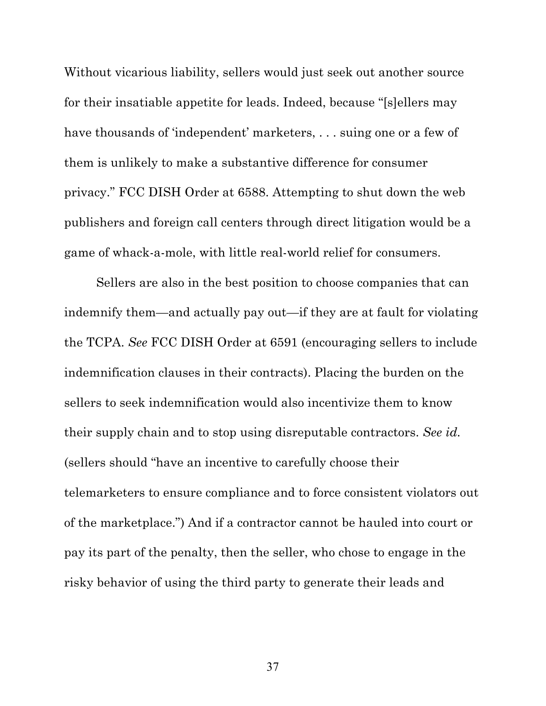Without vicarious liability, sellers would just seek out another source for their insatiable appetite for leads. Indeed, because "[s]ellers may have thousands of 'independent' marketers, ... suing one or a few of them is unlikely to make a substantive difference for consumer privacy." FCC DISH Order at 6588. Attempting to shut down the web publishers and foreign call centers through direct litigation would be a game of whack-a-mole, with little real-world relief for consumers.

Sellers are also in the best position to choose companies that can indemnify them—and actually pay out—if they are at fault for violating the TCPA. *See* FCC DISH Order at 6591 (encouraging sellers to include indemnification clauses in their contracts). Placing the burden on the sellers to seek indemnification would also incentivize them to know their supply chain and to stop using disreputable contractors. *See id.* (sellers should "have an incentive to carefully choose their telemarketers to ensure compliance and to force consistent violators out of the marketplace.") And if a contractor cannot be hauled into court or pay its part of the penalty, then the seller, who chose to engage in the risky behavior of using the third party to generate their leads and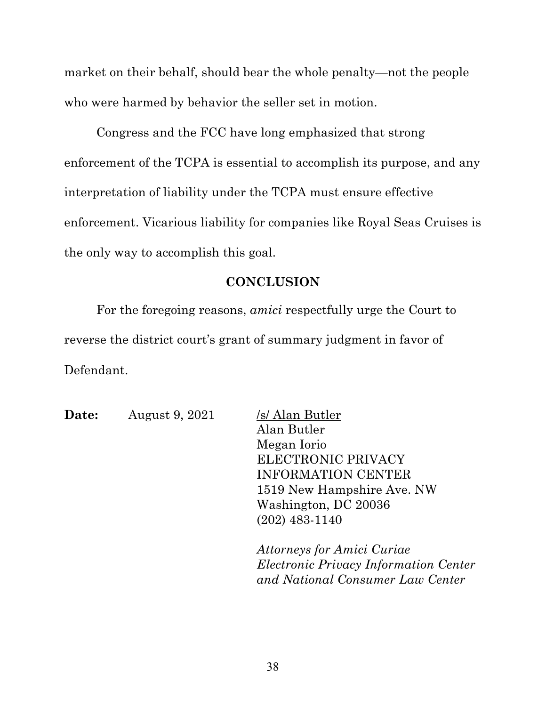market on their behalf, should bear the whole penalty—not the people who were harmed by behavior the seller set in motion.

Congress and the FCC have long emphasized that strong enforcement of the TCPA is essential to accomplish its purpose, and any interpretation of liability under the TCPA must ensure effective enforcement. Vicarious liability for companies like Royal Seas Cruises is the only way to accomplish this goal.

#### **CONCLUSION**

For the foregoing reasons, *amici* respectfully urge the Court to reverse the district court's grant of summary judgment in favor of Defendant.

| <b>Date:</b> | August 9, 2021 | /s/ Alan Butler            |
|--------------|----------------|----------------------------|
|              |                | Alan Butler                |
|              |                | Megan Iorio                |
|              |                | ELECTRONIC PRIVACY         |
|              |                | <b>INFORMATION CENTER</b>  |
|              |                | 1519 New Hampshire Ave. NW |
|              |                | Washington, DC 20036       |
|              |                | $(202)$ 483-1140           |
|              |                |                            |
|              |                | Attorneys for Amici Curiae |
|              |                |                            |

*Electronic Privacy Information Center and National Consumer Law Center*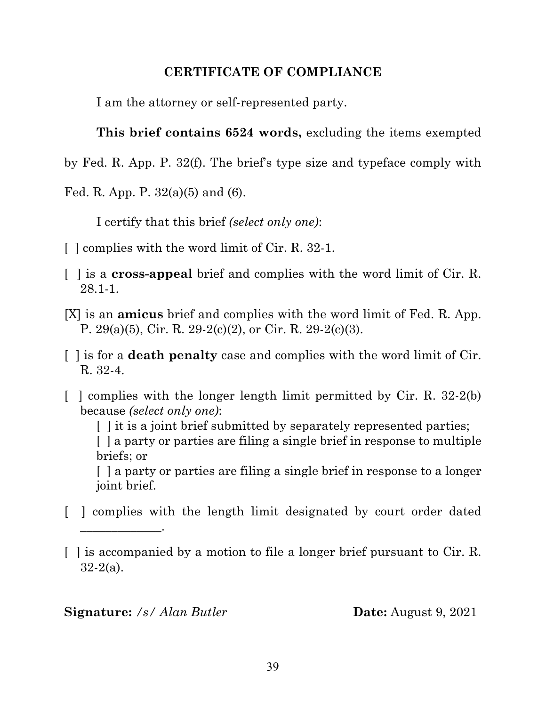### **CERTIFICATE OF COMPLIANCE**

I am the attorney or self-represented party.

**This brief contains 6524 words,** excluding the items exempted

- by Fed. R. App. P. 32(f). The brief's type size and typeface comply with
- Fed. R. App. P.  $32(a)(5)$  and  $(6)$ .

I certify that this brief *(select only one)*:

- [ ] complies with the word limit of Cir. R. 32-1.
- [ ] is a **cross-appeal** brief and complies with the word limit of Cir. R. 28.1-1.
- [X] is an **amicus** brief and complies with the word limit of Fed. R. App. P. 29(a)(5), Cir. R. 29-2(c)(2), or Cir. R. 29-2(c)(3).
- [ ] is for a **death penalty** case and complies with the word limit of Cir. R. 32-4.
- $\lceil$  complies with the longer length limit permitted by Cir. R. 32-2(b) because *(select only one)*:

[] it is a joint brief submitted by separately represented parties;

[ ] a party or parties are filing a single brief in response to multiple briefs; or

[ ] a party or parties are filing a single brief in response to a longer joint brief.

[ ] complies with the length limit designated by court order dated

#### **Signature:** /s/ Alan Butler **Date:** August 9, 2021

\_\_\_\_\_\_\_\_\_\_\_\_\_.

<sup>[ ]</sup> is accompanied by a motion to file a longer brief pursuant to Cir. R. 32-2(a).